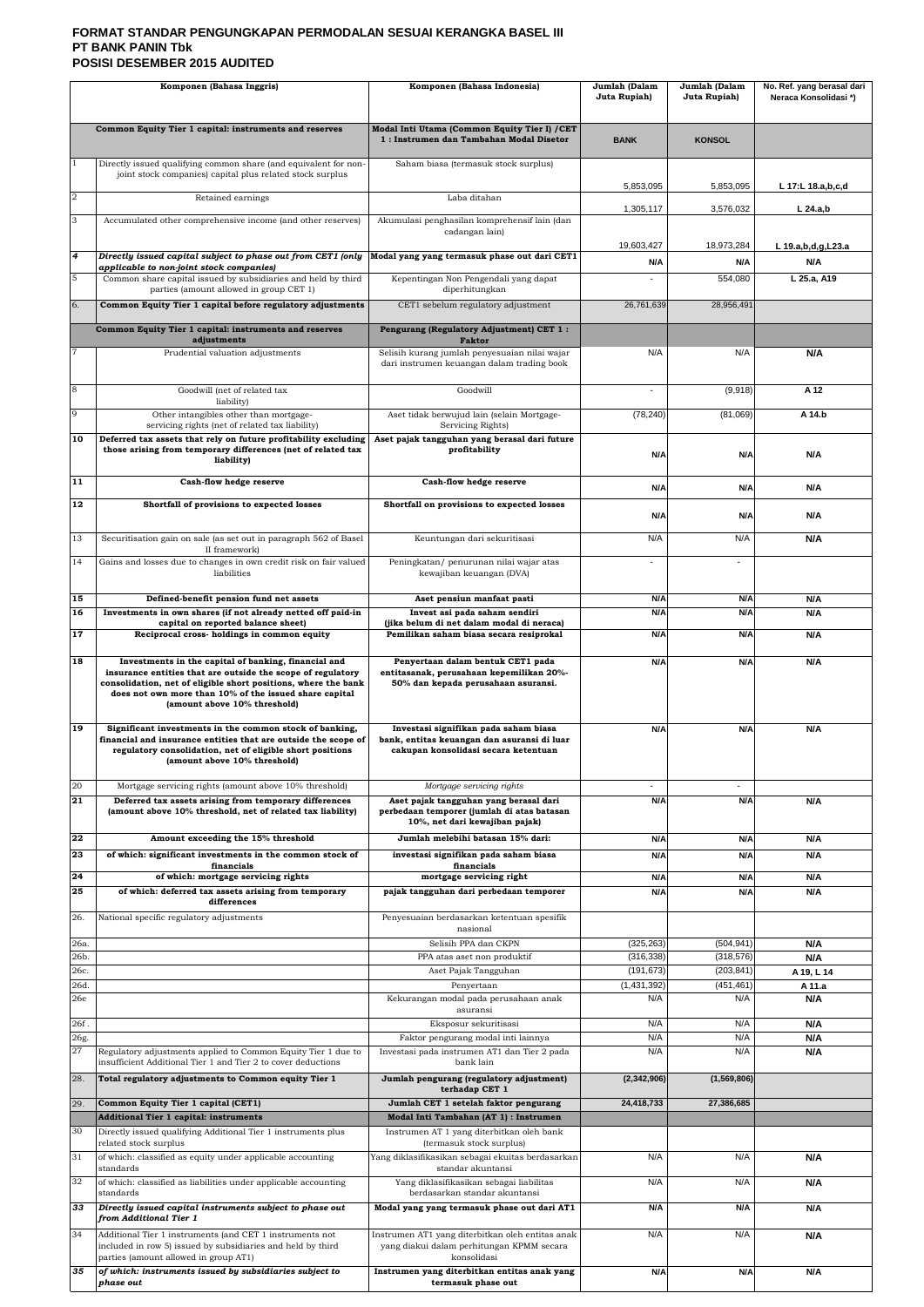# **FORMAT STANDAR PENGUNGKAPAN PERMODALAN SESUAI KERANGKA BASEL III PT BANK PANIN Tbk POSISI DESEMBER 2015 AUDITED**

|              | Komponen (Bahasa Inggris)                                                                                                                                                                                                                                                       | Komponen (Bahasa Indonesia)                                                                                                                         | Jumlah (Dalam<br>Juta Rupiah) | Jumlah (Dalam<br>Juta Rupiah) | No. Ref. yang berasal dari<br>Neraca Konsolidasi*) |
|--------------|---------------------------------------------------------------------------------------------------------------------------------------------------------------------------------------------------------------------------------------------------------------------------------|-----------------------------------------------------------------------------------------------------------------------------------------------------|-------------------------------|-------------------------------|----------------------------------------------------|
|              | Common Equity Tier 1 capital: instruments and reserves                                                                                                                                                                                                                          | Modal Inti Utama (Common Equity Tier I) / CET<br>1: Instrumen dan Tambahan Modal Disetor                                                            | <b>BANK</b>                   | <b>KONSOL</b>                 |                                                    |
|              | Directly issued qualifying common share (and equivalent for non-<br>joint stock companies) capital plus related stock surplus                                                                                                                                                   | Saham biasa (termasuk stock surplus)                                                                                                                |                               |                               |                                                    |
| $\sqrt{2}$   | Retained earnings                                                                                                                                                                                                                                                               | Laba ditahan                                                                                                                                        | 5,853,095                     | 5,853,095                     | L 17:L 18.a,b,c,d                                  |
| 3            | Accumulated other comprehensive income (and other reserves)                                                                                                                                                                                                                     | Akumulasi penghasilan komprehensif lain (dan                                                                                                        | 1,305,117                     | 3,576,032                     | $L$ 24.a,b                                         |
|              |                                                                                                                                                                                                                                                                                 | cadangan lain)                                                                                                                                      |                               |                               |                                                    |
| 4            | Directly issued capital subject to phase out from CET1 (only<br>applicable to non-joint stock companies)                                                                                                                                                                        | Modal yang yang termasuk phase out dari CET1                                                                                                        | 19,603,427<br>N/A             | 18,973,284<br>N/A             | L 19.a,b,d,g,L23.a<br>N/A                          |
| 5            | Common share capital issued by subsidiaries and held by third<br>parties (amount allowed in group CET 1)                                                                                                                                                                        | Kepentingan Non Pengendali yang dapat<br>diperhitungkan                                                                                             | $\blacksquare$                | 554,080                       | L 25.a, A19                                        |
| 6.           | Common Equity Tier 1 capital before regulatory adjustments                                                                                                                                                                                                                      | CET1 sebelum regulatory adjustment                                                                                                                  | 26,761,639                    | 28,956,491                    |                                                    |
|              | Common Equity Tier 1 capital: instruments and reserves                                                                                                                                                                                                                          | Pengurang (Regulatory Adjustment) CET 1:                                                                                                            |                               |                               |                                                    |
|              | adjustments<br>Prudential valuation adjustments                                                                                                                                                                                                                                 | Faktor<br>Selisih kurang jumlah penyesuaian nilai wajar                                                                                             | N/A                           | N/A                           | N/A                                                |
|              |                                                                                                                                                                                                                                                                                 | dari instrumen keuangan dalam trading book                                                                                                          |                               |                               |                                                    |
| 8            | Goodwill (net of related tax<br>liability)                                                                                                                                                                                                                                      | Goodwill                                                                                                                                            | $\blacksquare$                | (9,918)                       | A 12                                               |
| 9            | Other intangibles other than mortgage-<br>servicing rights (net of related tax liability)                                                                                                                                                                                       | Aset tidak berwujud lain (selain Mortgage-<br>Servicing Rights)                                                                                     | (78, 240)                     | (81,069)                      | A 14.b                                             |
| 10           | Deferred tax assets that rely on future profitability excluding<br>those arising from temporary differences (net of related tax<br>liability)                                                                                                                                   | Aset pajak tangguhan yang berasal dari future<br>profitability                                                                                      | N/A                           | N/A                           | N/A                                                |
| 11           | Cash-flow hedge reserve                                                                                                                                                                                                                                                         | Cash-flow hedge reserve                                                                                                                             |                               |                               |                                                    |
| 12           | Shortfall of provisions to expected losses                                                                                                                                                                                                                                      | Shortfall on provisions to expected losses                                                                                                          | N/A                           | N/A                           | N/A                                                |
|              |                                                                                                                                                                                                                                                                                 |                                                                                                                                                     | N/A                           | N/A                           | N/A                                                |
| 13           | Securitisation gain on sale (as set out in paragraph 562 of Basel<br>II framework)                                                                                                                                                                                              | Keuntungan dari sekuritisasi                                                                                                                        | N/A                           | N/A                           | N/A                                                |
| 14           | Gains and losses due to changes in own credit risk on fair valued<br>liabilities                                                                                                                                                                                                | Peningkatan/ penurunan nilai wajar atas<br>kewajiban keuangan (DVA)                                                                                 | $\blacksquare$                | $\blacksquare$                |                                                    |
| 15           | Defined-benefit pension fund net assets                                                                                                                                                                                                                                         | Aset pensiun manfaat pasti                                                                                                                          | N/A                           | N/A                           | N/A                                                |
| 16<br>17     | Investments in own shares (if not already netted off paid-in<br>capital on reported balance sheet)<br>Reciprocal cross- holdings in common equity                                                                                                                               | Invest asi pada saham sendiri<br>(jika belum di net dalam modal di neraca)<br>Pemilikan saham biasa secara resiprokal                               | N/A<br>N/A                    | N/A<br>N/A                    | N/A                                                |
|              |                                                                                                                                                                                                                                                                                 |                                                                                                                                                     |                               |                               | N/A                                                |
| 18           | Investments in the capital of banking, financial and<br>insurance entities that are outside the scope of regulatory<br>consolidation, net of eligible short positions, where the bank<br>does not own more than 10% of the issued share capital<br>(amount above 10% threshold) | Penyertaan dalam bentuk CET1 pada<br>entitasanak, perusahaan kepemilikan 20%-<br>50% dan kepada perusahaan asuransi.                                | N/A                           | N/A                           | N/A                                                |
| 19           | Significant investments in the common stock of banking,<br>financial and insurance entities that are outside the scope of<br>regulatory consolidation, net of eligible short positions<br>(amount above 10% threshold)                                                          | Investasi signifikan pada saham biasa<br>bank, entitas keuangan dan asuransi di luar<br>cakupan konsolidasi secara ketentuan                        | N/A                           | N/A                           | N/A                                                |
| $20\,$<br>21 | Mortgage servicing rights (amount above 10% threshold)<br>Deferred tax assets arising from temporary differences<br>(amount above 10% threshold, net of related tax liability)                                                                                                  | Mortgage servicing rights<br>Aset pajak tangguhan yang berasal dari<br>perbedaan temporer (jumlah di atas batasan<br>10%, net dari kewajiban pajak) | $\sim$<br>N/A                 | $\sim$<br>N/A                 | N/A                                                |
| 22<br>23     | Amount exceeding the 15% threshold<br>of which: significant investments in the common stock of                                                                                                                                                                                  | Jumlah melebihi batasan 15% dari:<br>investasi signifikan pada saham biasa                                                                          | N/A<br>N/A                    | N/A<br>N/A                    | N/A<br>N/A                                         |
| 24           | financials<br>of which: mortgage servicing rights                                                                                                                                                                                                                               | financials<br>mortgage servicing right                                                                                                              | N/A                           | N/A                           | N/A                                                |
| 25           | of which: deferred tax assets arising from temporary<br>differences                                                                                                                                                                                                             | pajak tangguhan dari perbedaan temporer                                                                                                             | N/A                           | N/A                           | N/A                                                |
| 26.          | National specific regulatory adjustments                                                                                                                                                                                                                                        | Penyesuaian berdasarkan ketentuan spesifik<br>nasional                                                                                              |                               |                               |                                                    |
| 26a.         |                                                                                                                                                                                                                                                                                 | Selisih PPA dan CKPN                                                                                                                                | (325, 263)                    | (504, 941)                    | N/A                                                |
| 26b.<br>26c. |                                                                                                                                                                                                                                                                                 | PPA atas aset non produktif<br>Aset Pajak Tangguhan                                                                                                 | (316, 338)<br>(191, 673)      | (318, 576)<br>(203, 841)      | N/A<br>A 19, L 14                                  |
| 26d.         |                                                                                                                                                                                                                                                                                 | Penyertaan                                                                                                                                          | (1,431,392)                   | (451, 461)                    | A 11.a                                             |
| 26e          |                                                                                                                                                                                                                                                                                 | Kekurangan modal pada perusahaan anak<br>asuransi                                                                                                   | N/A                           | N/A                           | N/A                                                |
| 26f.<br>26g. |                                                                                                                                                                                                                                                                                 | Eksposur sekuritisasi<br>Faktor pengurang modal inti lainnya                                                                                        | N/A<br>N/A                    | N/A<br>N/A                    | N/A<br>N/A                                         |
| 27           | Regulatory adjustments applied to Common Equity Tier 1 due to<br>insufficient Additional Tier 1 and Tier 2 to cover deductions                                                                                                                                                  | Investasi pada instrumen AT1 dan Tier 2 pada<br>and the bank lain to bank lain                                                                      | N/A                           | N/A                           | N/A                                                |
| 28.          | Total regulatory adjustments to Common equity Tier 1                                                                                                                                                                                                                            | Jumlah pengurang (regulatory adjustment)<br>terhadap CET 1                                                                                          | (2,342,906)                   | (1,569,806)                   |                                                    |
| 29.          | Common Equity Tier 1 capital (CET1)                                                                                                                                                                                                                                             | Jumlah CET 1 setelah faktor pengurang                                                                                                               | 24,418,733                    | 27,386,685                    |                                                    |
| 30           | <b>Additional Tier 1 capital: instruments</b><br>Directly issued qualifying Additional Tier 1 instruments plus                                                                                                                                                                  | Modal Inti Tambahan (AT 1) : Instrumen<br>Instrumen AT 1 yang diterbitkan oleh bank                                                                 |                               |                               |                                                    |
| 31           | related stock surplus<br>of which: classified as equity under applicable accounting                                                                                                                                                                                             | (termasuk stock surplus)<br>Yang diklasifikasikan sebagai ekuitas berdasarkan                                                                       | N/A                           | N/A                           | N/A                                                |
|              | standards                                                                                                                                                                                                                                                                       | standar akuntansi                                                                                                                                   |                               |                               |                                                    |
| 32           | of which: classified as liabilities under applicable accounting<br>standards                                                                                                                                                                                                    | Yang diklasifikasikan sebagai liabilitas<br>berdasarkan standar akuntansi                                                                           | N/A                           | N/A                           | N/A                                                |
| 33           | Directly issued capital instruments subject to phase out<br>from Additional Tier 1                                                                                                                                                                                              | Modal yang yang termasuk phase out dari AT1                                                                                                         | N/A                           | N/A                           | N/A                                                |
| 34           | Additional Tier 1 instruments (and CET 1 instruments not<br>included in row 5) issued by subsidiaries and held by third<br>parties (amount allowed in group AT1)                                                                                                                | Instrumen AT1 yang diterbitkan oleh entitas anak<br>yang diakui dalam perhitungan KPMM secara<br>konsolidasi                                        | N/A                           | N/A                           | N/A                                                |
| 35           | of which: instruments issued by subsidiaries subject to<br>phase out                                                                                                                                                                                                            | Instrumen yang diterbitkan entitas anak yang<br>termasuk phase out                                                                                  | N/A                           | N/A                           | N/A                                                |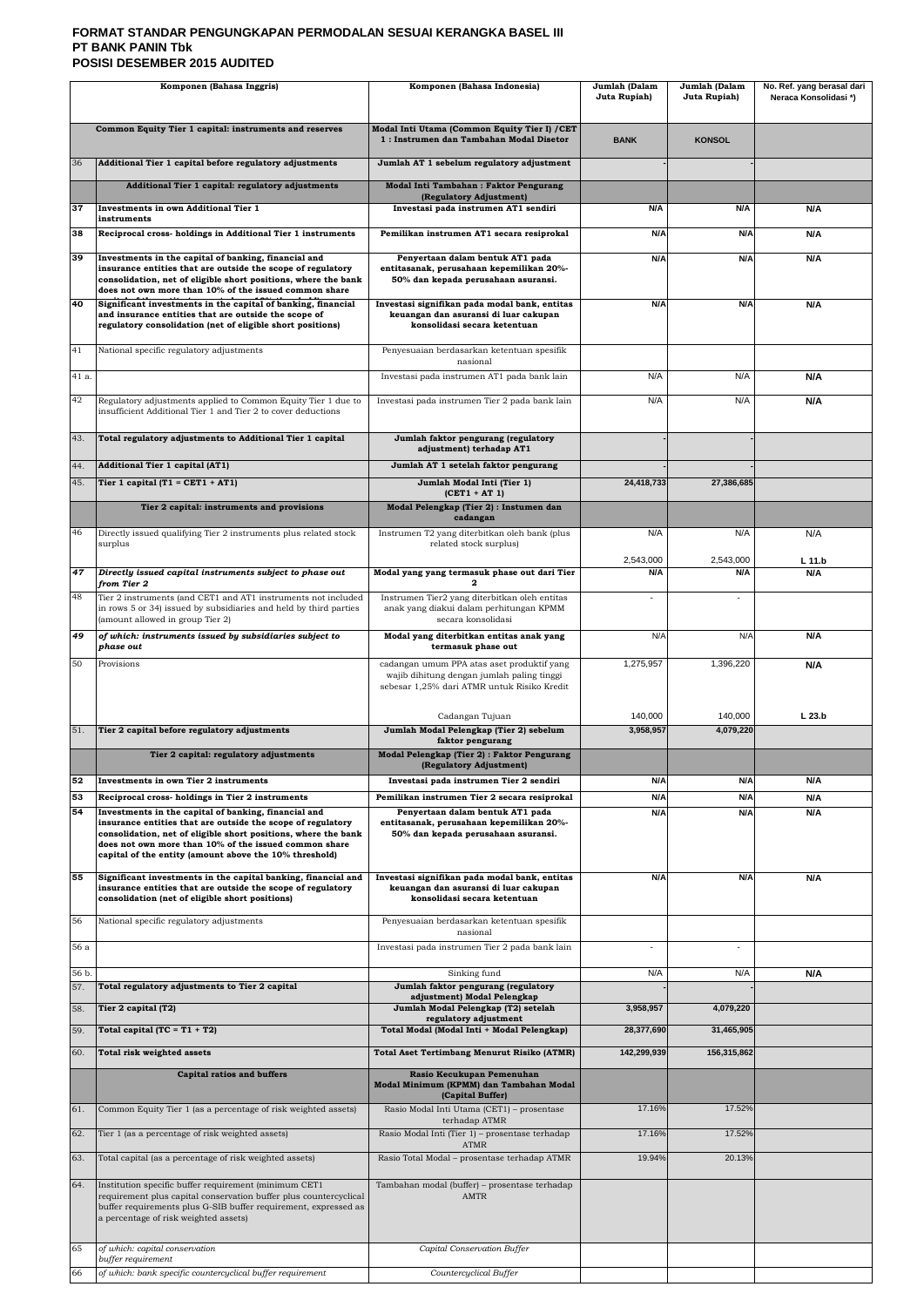# **FORMAT STANDAR PENGUNGKAPAN PERMODALAN SESUAI KERANGKA BASEL III PT BANK PANIN Tbk POSISI DESEMBER 2015 AUDITED**

|              | Komponen (Bahasa Inggris)                                                                                                                                                                                                                                                                                                                                   | Komponen (Bahasa Indonesia)                                                                                                             | Jumlah (Dalam<br>Juta Rupiah) | Jumlah (Dalam<br>Juta Rupiah) | No. Ref. yang berasal dari<br>Neraca Konsolidasi*) |
|--------------|-------------------------------------------------------------------------------------------------------------------------------------------------------------------------------------------------------------------------------------------------------------------------------------------------------------------------------------------------------------|-----------------------------------------------------------------------------------------------------------------------------------------|-------------------------------|-------------------------------|----------------------------------------------------|
|              | Common Equity Tier 1 capital: instruments and reserves                                                                                                                                                                                                                                                                                                      | Modal Inti Utama (Common Equity Tier I) / CET<br>1: Instrumen dan Tambahan Modal Disetor                                                | <b>BANK</b>                   | <b>KONSOL</b>                 |                                                    |
| 36           | Additional Tier 1 capital before regulatory adjustments                                                                                                                                                                                                                                                                                                     | Jumlah AT 1 sebelum regulatory adjustment                                                                                               |                               |                               |                                                    |
|              | Additional Tier 1 capital: regulatory adjustments                                                                                                                                                                                                                                                                                                           | Modal Inti Tambahan: Faktor Pengurang<br>(Regulatory Adjustment)                                                                        |                               |                               |                                                    |
| 37           | Investments in own Additional Tier 1<br>instruments                                                                                                                                                                                                                                                                                                         | Investasi pada instrumen AT1 sendiri                                                                                                    | N/A                           | N/A                           | N/A                                                |
| 38           | Reciprocal cross- holdings in Additional Tier 1 instruments                                                                                                                                                                                                                                                                                                 | Pemilikan instrumen AT1 secara resiprokal                                                                                               | N/A                           | N/A                           | N/A                                                |
| 39           | Investments in the capital of banking, financial and<br>insurance entities that are outside the scope of regulatory<br>consolidation, net of eligible short positions, where the bank<br>does not own more than 10% of the issued common share                                                                                                              | Penyertaan dalam bentuk AT1 pada<br>entitasanak, perusahaan kepemilikan 20%-<br>50% dan kepada perusahaan asuransi.                     | N/A                           | N/A                           | N/A                                                |
| 40           | Significant investments in the capital of banking, financial<br>and insurance entities that are outside the scope of<br>regulatory consolidation (net of eligible short positions)                                                                                                                                                                          | Investasi signifikan pada modal bank, entitas<br>keuangan dan asuransi di luar cakupan<br>konsolidasi secara ketentuan                  | N/A                           | N/A                           | N/A                                                |
| 41           | National specific regulatory adjustments                                                                                                                                                                                                                                                                                                                    | Penyesuaian berdasarkan ketentuan spesifik<br>nasional                                                                                  |                               |                               |                                                    |
| 41 a.        |                                                                                                                                                                                                                                                                                                                                                             | Investasi pada instrumen AT1 pada bank lain                                                                                             | N/A                           | N/A                           | N/A                                                |
| 42           | Regulatory adjustments applied to Common Equity Tier 1 due to<br>insufficient Additional Tier 1 and Tier 2 to cover deductions                                                                                                                                                                                                                              | Investasi pada instrumen Tier 2 pada bank lain                                                                                          | N/A                           | N/A                           | N/A                                                |
| 43.          | Total regulatory adjustments to Additional Tier 1 capital                                                                                                                                                                                                                                                                                                   | Jumlah faktor pengurang (regulatory<br>adjustment) terhadap AT1                                                                         |                               |                               |                                                    |
| 44.          | <b>Additional Tier 1 capital (AT1)</b>                                                                                                                                                                                                                                                                                                                      | Jumlah AT 1 setelah faktor pengurang                                                                                                    |                               |                               |                                                    |
| 45.          | Tier 1 capital (T1 = CET1 + AT1)                                                                                                                                                                                                                                                                                                                            | Jumlah Modal Inti (Tier 1)<br>$(CET1 + AT1)$                                                                                            | 24,418,733                    | 27,386,685                    |                                                    |
|              | Tier 2 capital: instruments and provisions                                                                                                                                                                                                                                                                                                                  | Modal Pelengkap (Tier 2) : Instumen dan<br>cadangan                                                                                     |                               |                               |                                                    |
| 46           | Directly issued qualifying Tier 2 instruments plus related stock<br>surplus                                                                                                                                                                                                                                                                                 | Instrumen T2 yang diterbitkan oleh bank (plus<br>related stock surplus)                                                                 | N/A                           | N/A                           | N/A                                                |
| 47           | Directly issued capital instruments subject to phase out                                                                                                                                                                                                                                                                                                    | Modal yang yang termasuk phase out dari Tier                                                                                            | 2,543,000<br>N/A              | 2,543,000<br>N/A              | L 11.b<br>N/A                                      |
| 48           | from Tier 2<br>Tier 2 instruments (and CET1 and AT1 instruments not included                                                                                                                                                                                                                                                                                | Instrumen Tier2 yang diterbitkan oleh entitas                                                                                           |                               |                               |                                                    |
|              | in rows 5 or 34) issued by subsidiaries and held by third parties<br>(amount allowed in group Tier 2)                                                                                                                                                                                                                                                       | anak yang diakui dalam perhitungan KPMM<br>secara konsolidasi                                                                           |                               |                               |                                                    |
| 49           | of which: instruments issued by subsidiaries subject to<br>phase out                                                                                                                                                                                                                                                                                        | Modal yang diterbitkan entitas anak yang<br>termasuk phase out                                                                          | N/A                           | N/A                           | N/A                                                |
| 50           | Provisions                                                                                                                                                                                                                                                                                                                                                  | cadangan umum PPA atas aset produktif yang<br>wajib dihitung dengan jumlah paling tinggi<br>sebesar 1,25% dari ATMR untuk Risiko Kredit | 1,275,957                     | 1,396,220                     | N/A                                                |
|              |                                                                                                                                                                                                                                                                                                                                                             | Cadangan Tujuan                                                                                                                         | 140,000                       | 140,000                       | L <sub>23.b</sub>                                  |
| 51.          | Tier 2 capital before regulatory adjustments                                                                                                                                                                                                                                                                                                                | Jumlah Modal Pelengkap (Tier 2) sebelum<br>faktor pengurang                                                                             | 3,958,957                     | 4,079,220                     |                                                    |
|              | Tier 2 capital: regulatory adjustments                                                                                                                                                                                                                                                                                                                      | Modal Pelengkap (Tier 2) : Faktor Pengurang<br>(Regulatory Adjustment)                                                                  |                               |                               |                                                    |
| 52<br>53     | Investments in own Tier 2 instruments                                                                                                                                                                                                                                                                                                                       | Investasi pada instrumen Tier 2 sendiri<br>Pemilikan instrumen Tier 2 secara resiprokal                                                 | N/A<br>N/A                    | N/A<br>N/A                    | N/A                                                |
| 54           | Reciprocal cross-holdings in Tier 2 instruments<br>Investments in the capital of banking, financial and<br>insurance entities that are outside the scope of regulatory<br>consolidation, net of eligible short positions, where the bank<br>does not own more than 10% of the issued common share<br>capital of the entity (amount above the 10% threshold) | Penyertaan dalam bentuk AT1 pada<br>entitasanak, perusahaan kepemilikan 20%-<br>50% dan kepada perusahaan asuransi.                     | N/A                           | N/A                           | N/A<br>N/A                                         |
| 55           | Significant investments in the capital banking, financial and<br>insurance entities that are outside the scope of regulatory                                                                                                                                                                                                                                | Investasi signifikan pada modal bank, entitas<br>keuangan dan asuransi di luar cakupan                                                  | N/A                           | N/A                           | N/A                                                |
| 56           | consolidation (net of eligible short positions)                                                                                                                                                                                                                                                                                                             | konsolidasi secara ketentuan                                                                                                            |                               |                               |                                                    |
|              | National specific regulatory adjustments                                                                                                                                                                                                                                                                                                                    | Penyesuaian berdasarkan ketentuan spesifik<br>nasional                                                                                  |                               |                               |                                                    |
| 56 a         |                                                                                                                                                                                                                                                                                                                                                             | Investasi pada instrumen Tier 2 pada bank lain                                                                                          | $\blacksquare$                | $\blacksquare$                |                                                    |
| 56 b.<br>57. | Total regulatory adjustments to Tier 2 capital                                                                                                                                                                                                                                                                                                              | Sinking fund<br>Jumlah faktor pengurang (regulatory<br>adjustment) Modal Pelengkap                                                      | N/A                           | N/A                           | N/A                                                |
| 58.          | Tier 2 capital (T2)                                                                                                                                                                                                                                                                                                                                         | Jumlah Modal Pelengkap (T2) setelah<br>regulatory adjustment                                                                            | 3,958,957                     | 4,079,220                     |                                                    |
| 59.          | Total capital (TC = $T1 + T2$ )                                                                                                                                                                                                                                                                                                                             | Total Modal (Modal Inti + Modal Pelengkap)                                                                                              | 28,377,690                    | 31,465,905                    |                                                    |
| 60.          | Total risk weighted assets                                                                                                                                                                                                                                                                                                                                  | <b>Total Aset Tertimbang Menurut Risiko (ATMR)</b>                                                                                      | 142,299,939                   | 156,315,862                   |                                                    |
|              | <b>Capital ratios and buffers</b>                                                                                                                                                                                                                                                                                                                           | Rasio Kecukupan Pemenuhan<br>Modal Minimum (KPMM) dan Tambahan Modal<br>(Capital Buffer)                                                |                               |                               |                                                    |
| 61.          | Common Equity Tier 1 (as a percentage of risk weighted assets)                                                                                                                                                                                                                                                                                              | Rasio Modal Inti Utama (CET1) - prosentase<br>terhadap ATMR                                                                             | 17.16%                        | 17.52%                        |                                                    |
| 62.          | Tier 1 (as a percentage of risk weighted assets)                                                                                                                                                                                                                                                                                                            | Rasio Modal Inti (Tier 1) - prosentase terhadap                                                                                         | 17.16%                        | 17.52%                        |                                                    |
| 63.          | Total capital (as a percentage of risk weighted assets)                                                                                                                                                                                                                                                                                                     | ATMR<br>Rasio Total Modal - prosentase terhadap ATMR                                                                                    | 19.94%                        | 20.13%                        |                                                    |
| 64.          | Institution specific buffer requirement (minimum CET1<br>requirement plus capital conservation buffer plus countercyclical<br>buffer requirements plus G-SIB buffer requirement, expressed as<br>a percentage of risk weighted assets)                                                                                                                      | Tambahan modal (buffer) - prosentase terhadap<br>AMTR                                                                                   |                               |                               |                                                    |
| 65           | of which: capital conservation<br>buffer requirement                                                                                                                                                                                                                                                                                                        | Capital Conservation Buffer                                                                                                             |                               |                               |                                                    |
| 66           | of which: bank specific countercyclical buffer requirement                                                                                                                                                                                                                                                                                                  | Countercyclical Buffer                                                                                                                  |                               |                               |                                                    |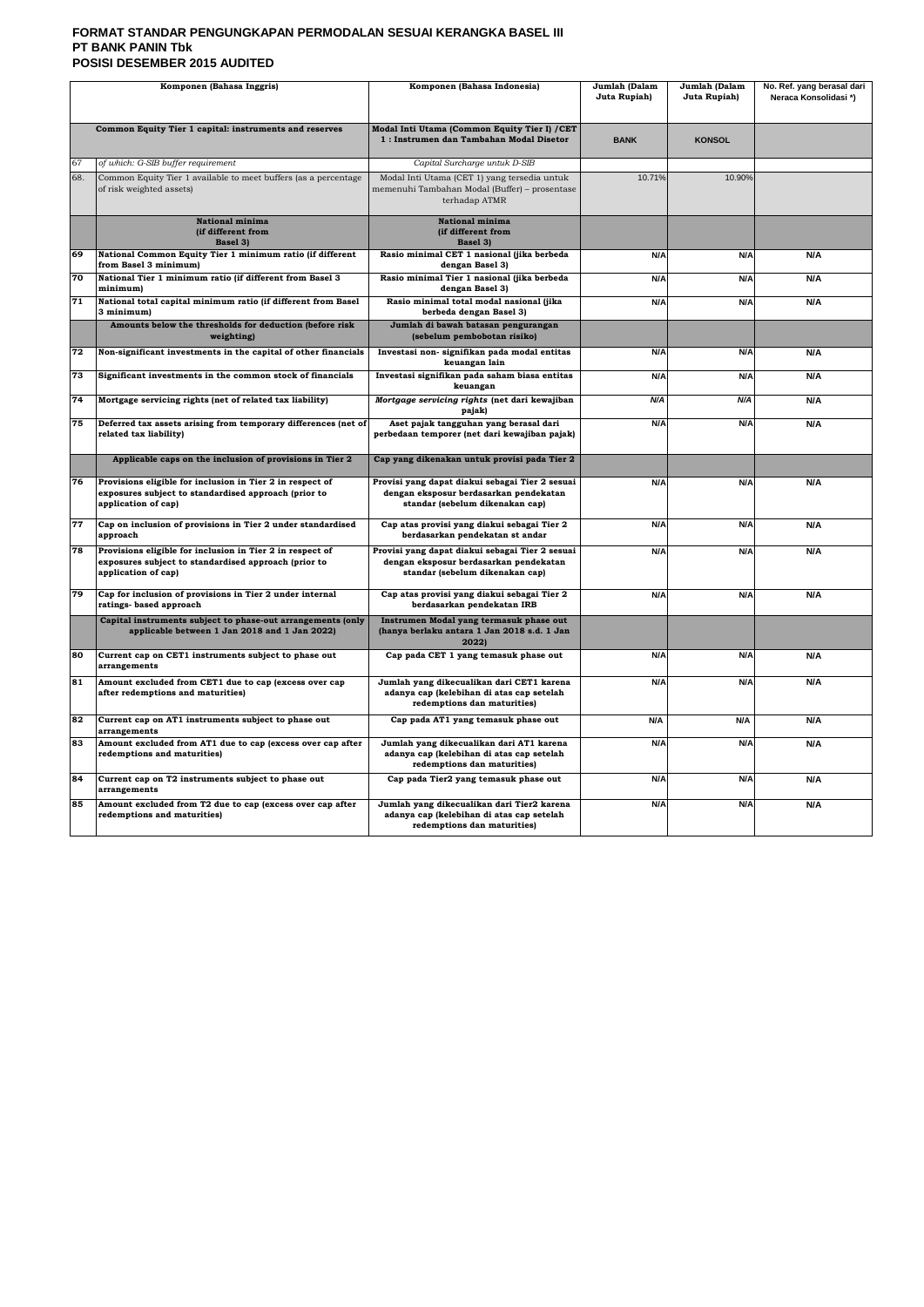# **FORMAT STANDAR PENGUNGKAPAN PERMODALAN SESUAI KERANGKA BASEL III PT BANK PANIN Tbk POSISI DESEMBER 2015 AUDITED**

| Komponen (Bahasa Inggris) |                                                                                                                                          | Komponen (Bahasa Indonesia)                                                                                                  | Jumlah (Dalam<br>Juta Rupiah) | Jumlah (Dalam<br>Juta Rupiah) | No. Ref. yang berasal dari<br>Neraca Konsolidasi*) |
|---------------------------|------------------------------------------------------------------------------------------------------------------------------------------|------------------------------------------------------------------------------------------------------------------------------|-------------------------------|-------------------------------|----------------------------------------------------|
|                           | Common Equity Tier 1 capital: instruments and reserves                                                                                   | Modal Inti Utama (Common Equity Tier I) / CET<br>1: Instrumen dan Tambahan Modal Disetor                                     | <b>BANK</b>                   | <b>KONSOL</b>                 |                                                    |
| 67                        | of which: G-SIB buffer requirement                                                                                                       | Capital Surcharge untuk D-SIB                                                                                                |                               |                               |                                                    |
| 68.                       | Common Equity Tier 1 available to meet buffers (as a percentage<br>of risk weighted assets)                                              | Modal Inti Utama (CET 1) yang tersedia untuk<br>memenuhi Tambahan Modal (Buffer) - prosentase<br>terhadap ATMR               | 10.71%                        | 10.90%                        |                                                    |
|                           | National minima<br>(if different from<br>Basel 3)                                                                                        | National minima<br>(if different from<br>Basel 3)                                                                            |                               |                               |                                                    |
| 69                        | National Common Equity Tier 1 minimum ratio (if different<br>from Basel 3 minimum)                                                       | Rasio minimal CET 1 nasional (jika berbeda<br>dengan Basel 3)                                                                | N/A                           | N/A                           | N/A                                                |
| 70                        | National Tier 1 minimum ratio (if different from Basel 3<br>minimum)                                                                     | Rasio minimal Tier 1 nasional (jika berbeda<br>dengan Basel 3)                                                               | N/A                           | N/A                           | N/A                                                |
| 71                        | National total capital minimum ratio (if different from Basel<br>3 minimum)                                                              | Rasio minimal total modal nasional (jika<br>berbeda dengan Basel 3)                                                          | N/A                           | N/A                           | N/A                                                |
|                           | Amounts below the thresholds for deduction (before risk<br>weighting)                                                                    | Jumlah di bawah batasan pengurangan<br>(sebelum pembobotan risiko)                                                           |                               |                               |                                                    |
| 72                        | Non-significant investments in the capital of other financials                                                                           | Investasi non- signifikan pada modal entitas<br>keuangan lain                                                                | N/A                           | N/A                           | N/A                                                |
| 73                        | Significant investments in the common stock of financials                                                                                | Investasi signifikan pada saham biasa entitas<br>keuangan                                                                    | N/A                           | N/A                           | N/A                                                |
| 74                        | Mortgage servicing rights (net of related tax liability)                                                                                 | Mortgage servicing rights (net dari kewajiban<br>pajak)                                                                      | N/A                           | N/A                           | N/A                                                |
| 75                        | Deferred tax assets arising from temporary differences (net of<br>related tax liability)                                                 | Aset pajak tangguhan yang berasal dari<br>perbedaan temporer (net dari kewajiban pajak)                                      | N/A                           | N/A                           | N/A                                                |
|                           | Applicable caps on the inclusion of provisions in Tier 2                                                                                 | Cap yang dikenakan untuk provisi pada Tier 2                                                                                 |                               |                               |                                                    |
| 76                        | Provisions eligible for inclusion in Tier 2 in respect of<br>exposures subject to standardised approach (prior to<br>application of cap) | Provisi yang dapat diakui sebagai Tier 2 sesuai<br>dengan eksposur berdasarkan pendekatan<br>standar (sebelum dikenakan cap) | N/A                           | N/A                           | N/A                                                |
| 77                        | Cap on inclusion of provisions in Tier 2 under standardised<br>approach                                                                  | Cap atas provisi yang diakui sebagai Tier 2<br>berdasarkan pendekatan st andar                                               | N/A                           | N/A                           | N/A                                                |
| 78                        | Provisions eligible for inclusion in Tier 2 in respect of<br>exposures subject to standardised approach (prior to<br>application of cap) | Provisi yang dapat diakui sebagai Tier 2 sesuai<br>dengan eksposur berdasarkan pendekatan<br>standar (sebelum dikenakan cap) | N/A                           | N/A                           | N/A                                                |
| 79                        | Cap for inclusion of provisions in Tier 2 under internal<br>ratings-based approach                                                       | Cap atas provisi yang diakui sebagai Tier 2<br>berdasarkan pendekatan IRB                                                    | N/A                           | N/A                           | N/A                                                |
|                           | Capital instruments subject to phase-out arrangements (only<br>applicable between 1 Jan 2018 and 1 Jan 2022)                             | Instrumen Modal yang termasuk phase out<br>(hanya berlaku antara 1 Jan 2018 s.d. 1 Jan<br>2022)                              |                               |                               |                                                    |
| 80                        | Current cap on CET1 instruments subject to phase out<br>arrangements                                                                     | Cap pada CET 1 yang temasuk phase out                                                                                        | N/A                           | N/A                           | N/A                                                |
| 81                        | Amount excluded from CET1 due to cap (excess over cap<br>after redemptions and maturities)                                               | Jumlah yang dikecualikan dari CET1 karena<br>adanya cap (kelebihan di atas cap setelah<br>redemptions dan maturities)        | N/A                           | N/A                           | N/A                                                |
| 82                        | Current cap on AT1 instruments subject to phase out<br>arrangements                                                                      | Cap pada AT1 yang temasuk phase out                                                                                          | N/A                           | N/A                           | N/A                                                |
| 83                        | Amount excluded from AT1 due to cap (excess over cap after<br>redemptions and maturities)                                                | Jumlah yang dikecualikan dari AT1 karena<br>adanya cap (kelebihan di atas cap setelah<br>redemptions dan maturities)         | N/A                           | N/A                           | N/A                                                |
| 84                        | Current cap on T2 instruments subject to phase out<br>arrangements                                                                       | Cap pada Tier2 yang temasuk phase out                                                                                        | N/A                           | N/A                           | N/A                                                |
| 85                        | Amount excluded from T2 due to cap (excess over cap after<br>redemptions and maturities)                                                 | Jumlah yang dikecualikan dari Tier2 karena<br>adanya cap (kelebihan di atas cap setelah<br>redemptions dan maturities)       | N/A                           | N/A                           | N/A                                                |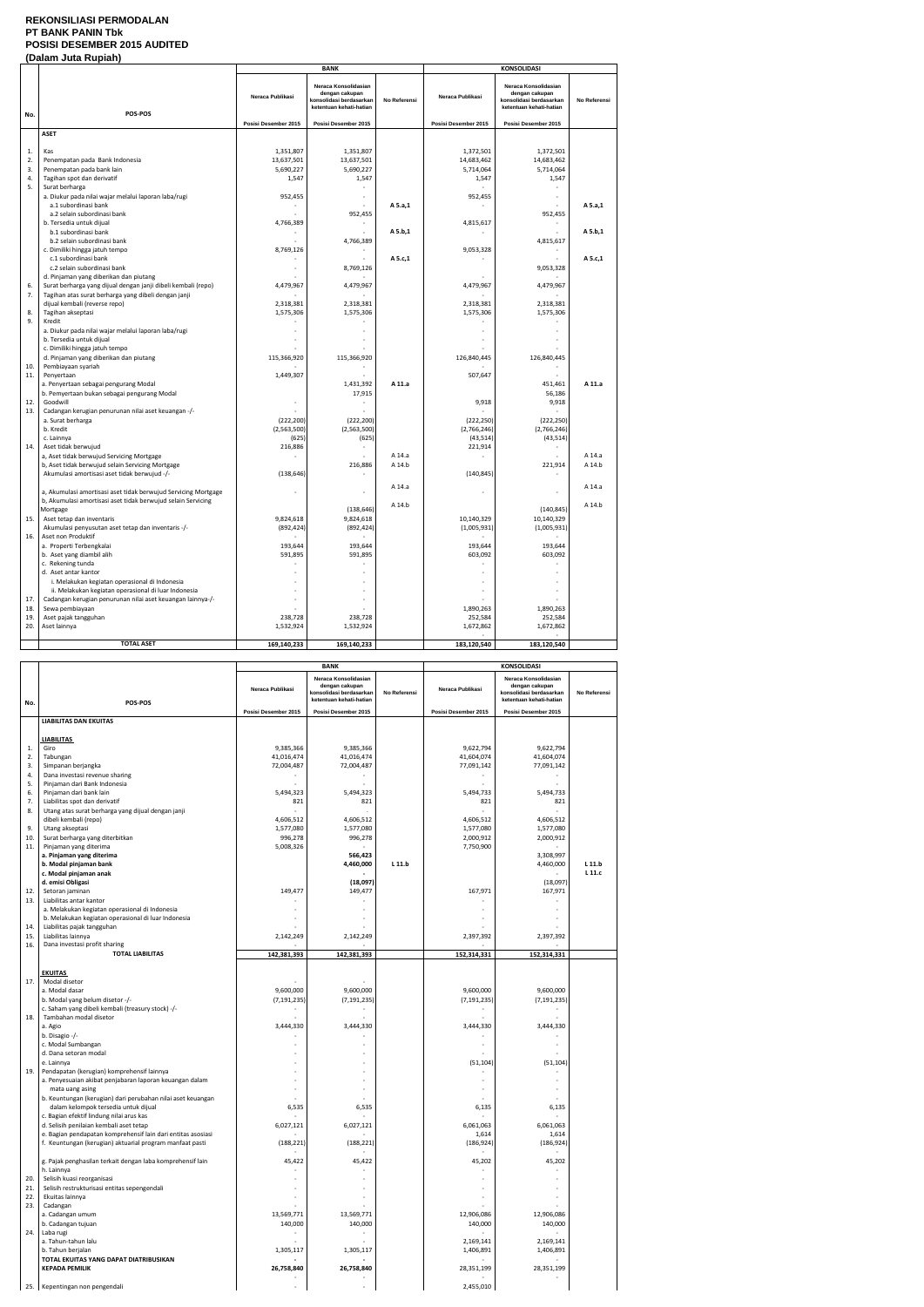### **REKONSILIASI PERMODALAN PT BANK PANIN Tbk POSISI DESEMBER 2015 AUDITED (Dalam Juta Rupiah)**

|          | Dalam vulu Ruplum                                                                                       | <b>BANK</b>          |                                                                                              |              | <b>KONSOLIDASI</b>   |                                                                                              |              |
|----------|---------------------------------------------------------------------------------------------------------|----------------------|----------------------------------------------------------------------------------------------|--------------|----------------------|----------------------------------------------------------------------------------------------|--------------|
| No.      | POS-POS                                                                                                 | Neraca Publikasi     | Neraca Konsolidasian<br>dengan cakupan<br>konsolidasi berdasarkan<br>ketentuan kehati-hatian | No Referensi | Neraca Publikasi     | Neraca Konsolidasian<br>dengan cakupan<br>konsolidasi berdasarkan<br>ketentuan kehati-hatian | No Referensi |
|          |                                                                                                         | Posisi Desember 2015 | Posisi Desember 2015                                                                         |              | Posisi Desember 2015 | Posisi Desember 2015                                                                         |              |
|          | <b>ASET</b>                                                                                             |                      |                                                                                              |              |                      |                                                                                              |              |
|          |                                                                                                         |                      |                                                                                              |              |                      |                                                                                              |              |
| 1.       | Kas                                                                                                     | 1,351,807            | 1,351,807                                                                                    |              | 1,372,501            | 1,372,501                                                                                    |              |
| 2.       | Penempatan pada Bank Indonesia                                                                          | 13,637,501           | 13,637,501                                                                                   |              | 14,683,462           | 14,683,462                                                                                   |              |
| 3.       | Penempatan pada bank lain                                                                               | 5,690,227            | 5,690,227                                                                                    |              | 5,714,064            | 5,714,064                                                                                    |              |
| 4.<br>5. | Tagihan spot dan derivatif<br>Surat berharga                                                            | 1,547                | 1,547<br>÷                                                                                   |              | 1,547                | 1,547                                                                                        |              |
|          | a. Diukur pada nilai wajar melalui laporan laba/rugi                                                    | 952,455              | ÷.                                                                                           |              | 952,455              |                                                                                              |              |
|          | a.1 subordinasi bank                                                                                    |                      |                                                                                              | A 5.a,1      |                      |                                                                                              | A 5.a,1      |
|          | a.2 selain subordinasi bank                                                                             |                      | 952,455                                                                                      |              |                      | 952,455                                                                                      |              |
|          | b. Tersedia untuk dijual                                                                                | 4,766,389            |                                                                                              |              | 4,815,617            |                                                                                              |              |
|          | b.1 subordinasi bank                                                                                    |                      |                                                                                              | A 5.b,1      |                      |                                                                                              | A 5.b,1      |
|          | b.2 selain subordinasi bank                                                                             |                      | 4,766,389                                                                                    |              |                      | 4,815,617                                                                                    |              |
|          | c. Dimiliki hingga jatuh tempo                                                                          | 8,769,126            |                                                                                              |              | 9,053,328            |                                                                                              |              |
|          | c.1 subordinasi bank                                                                                    |                      |                                                                                              | A 5.c,1      |                      |                                                                                              | A 5.c,1      |
|          | c.2 selain subordinasi bank                                                                             |                      | 8,769,126                                                                                    |              |                      | 9,053,328                                                                                    |              |
| 6.       | d. Pinjaman yang diberikan dan piutang<br>Surat berharga yang dijual dengan janji dibeli kembali (repo) | 4,479,967            | 4,479,967                                                                                    |              | 4,479,967            | 4,479,967                                                                                    |              |
| 7.       | Tagihan atas surat berharga yang dibeli dengan janji                                                    |                      |                                                                                              |              |                      |                                                                                              |              |
|          | dijual kembali (reverse repo)                                                                           | 2,318,381            | 2,318,381                                                                                    |              | 2,318,381            | 2,318,381                                                                                    |              |
| 8.       | Tagihan akseptasi                                                                                       | 1,575,306            | 1,575,306                                                                                    |              | 1,575,306            | 1,575,306                                                                                    |              |
| 9.       | Kredit                                                                                                  |                      |                                                                                              |              |                      |                                                                                              |              |
|          | a. Diukur pada nilai wajar melalui laporan laba/rugi                                                    |                      |                                                                                              |              |                      |                                                                                              |              |
|          | b. Tersedia untuk dijual                                                                                |                      |                                                                                              |              |                      |                                                                                              |              |
|          | c. Dimiliki hingga jatuh tempo                                                                          |                      |                                                                                              |              |                      |                                                                                              |              |
|          | d. Pinjaman yang diberikan dan piutang                                                                  | 115,366,920          | 115,366,920                                                                                  |              | 126,840,445          | 126,840,445                                                                                  |              |
| 10.      | Pembiayaan syariah                                                                                      |                      |                                                                                              |              |                      |                                                                                              |              |
| 11.      | Penyertaan                                                                                              | 1,449,307            | 1,431,392                                                                                    | A 11.a       | 507,647              | 451,461                                                                                      | A 11.a       |
|          | a. Penyertaan sebagai pengurang Modal<br>b. Pemyertaan bukan sebagai pengurang Modal                    |                      | 17,915                                                                                       |              |                      | 56,186                                                                                       |              |
| 12.      | Goodwill                                                                                                |                      |                                                                                              |              | 9,918                | 9,918                                                                                        |              |
| 13.      | Cadangan kerugian penurunan nilai aset keuangan -/-                                                     |                      |                                                                                              |              |                      |                                                                                              |              |
|          | a. Surat berharga                                                                                       | (222, 200)           | (222, 200)                                                                                   |              | (222, 250)           | (222, 250)                                                                                   |              |
|          | b. Kredit                                                                                               | (2,563,500)          | (2,563,500)                                                                                  |              | (2,766,246)          | (2,766,246)                                                                                  |              |
|          | c. Lainnya                                                                                              | (625)                | (625)                                                                                        |              | (43, 514)            | (43, 514)                                                                                    |              |
| 14.      | Aset tidak berwujud                                                                                     | 216,886              |                                                                                              |              | 221,914              |                                                                                              |              |
|          | a, Aset tidak berwujud Servicing Mortgage                                                               |                      |                                                                                              | A 14.a       |                      |                                                                                              | A 14.a       |
|          | b, Aset tidak berwujud selain Servicing Mortgage                                                        |                      | 216,886                                                                                      | A 14.b       |                      | 221,914                                                                                      | A 14.b       |
|          | Akumulasi amortisasi aset tidak berwujud -/-                                                            | (138, 646)           |                                                                                              |              | (140, 845)           |                                                                                              |              |
|          | a, Akumulasi amortisasi aset tidak berwujud Servicing Mortgage                                          |                      | ÷,                                                                                           | A 14.a       |                      |                                                                                              | A 14.a       |
|          | b, Akumulasi amortisasi aset tidak berwujud selain Servicing                                            |                      |                                                                                              |              |                      |                                                                                              |              |
|          | Mortgage                                                                                                |                      | (138, 646)                                                                                   | A 14.b       |                      | (140, 845)                                                                                   | A 14.b       |
| 15.      | Aset tetap dan inventaris                                                                               | 9,824,618            | 9,824,618                                                                                    |              | 10,140,329           | 10,140,329                                                                                   |              |
|          | Akumulasi penyusutan aset tetap dan inventaris -/-                                                      | (892, 424)           | (892, 424)                                                                                   |              | (1,005,931)          | (1,005,931)                                                                                  |              |
| 16.      | Aset non Produktif                                                                                      |                      |                                                                                              |              |                      |                                                                                              |              |
|          | a. Properti Terbengkalai                                                                                | 193,644              | 193,644                                                                                      |              | 193,644              | 193,644                                                                                      |              |
|          | b. Aset yang diambil alih                                                                               | 591,895              | 591,895                                                                                      |              | 603,092              | 603,092                                                                                      |              |
|          | c. Rekening tunda                                                                                       |                      |                                                                                              |              |                      |                                                                                              |              |
|          | d. Aset antar kantor<br>i. Melakukan kegiatan operasional di Indonesia                                  |                      |                                                                                              |              |                      |                                                                                              |              |
|          | ii. Melakukan kegiatan operasional di luar Indonesia                                                    |                      |                                                                                              |              |                      |                                                                                              |              |
| 17.      | Cadangan kerugian penurunan nilai aset keuangan lainnya-/-                                              |                      |                                                                                              |              |                      |                                                                                              |              |
| 18.      | Sewa pembiayaan                                                                                         |                      |                                                                                              |              | 1,890,263            | 1,890,263                                                                                    |              |
| 19.      | Aset pajak tangguhan                                                                                    | 238,728              | 238,728                                                                                      |              | 252,584              | 252,584                                                                                      |              |
| 20.      | Aset lainnya                                                                                            | 1,532,924            | 1,532,924                                                                                    |              | 1,672,862            | 1,672,862                                                                                    |              |
|          |                                                                                                         |                      |                                                                                              |              |                      |                                                                                              |              |
|          | <b>TOTAL ASET</b>                                                                                       | 169,140,233          | 169,140,233                                                                                  |              | 183,120,540          | 183,120,540                                                                                  |              |

|     |                                                              | <b>BANK</b>          |                                                                                              |              | <b>KONSOLIDASI</b>   |                                                                                              |              |
|-----|--------------------------------------------------------------|----------------------|----------------------------------------------------------------------------------------------|--------------|----------------------|----------------------------------------------------------------------------------------------|--------------|
|     |                                                              | Neraca Publikasi     | Neraca Konsolidasian<br>dengan cakupan<br>konsolidasi berdasarkan<br>ketentuan kehati-hatian | No Referensi | Neraca Publikasi     | Neraca Konsolidasian<br>dengan cakupan<br>konsolidasi berdasarkan<br>ketentuan kehati-hatian | No Referensi |
| No. | POS-POS                                                      | Posisi Desember 2015 | Posisi Desember 2015                                                                         |              | Posisi Desember 2015 | Posisi Desember 2015                                                                         |              |
|     | <b>LIABILITAS DAN EKUITAS</b>                                |                      |                                                                                              |              |                      |                                                                                              |              |
|     |                                                              |                      |                                                                                              |              |                      |                                                                                              |              |
|     | <b>LIABILITAS</b>                                            |                      | 9,385,366                                                                                    |              | 9,622,794            | 9,622,794                                                                                    |              |
| 1.  | Giro                                                         | 9,385,366            |                                                                                              |              |                      |                                                                                              |              |
| 2.  | Tabungan                                                     | 41,016,474           | 41,016,474                                                                                   |              | 41,604,074           | 41,604,074                                                                                   |              |
| 3.  | Simpanan berjangka                                           | 72,004,487           | 72,004,487                                                                                   |              | 77,091,142           | 77,091,142                                                                                   |              |
| 4.  | Dana investasi revenue sharing                               |                      |                                                                                              |              |                      |                                                                                              |              |
| 5.  | Pinjaman dari Bank Indonesia                                 |                      |                                                                                              |              |                      | $\sim$                                                                                       |              |
| 6.  | Pinjaman dari bank lain                                      | 5,494,323            | 5,494,323                                                                                    |              | 5,494,733            | 5,494,733                                                                                    |              |
| 7.  | Liabilitas spot dan derivatif                                | 821                  | 821                                                                                          |              | 821                  | 821                                                                                          |              |
| 8.  | Utang atas surat berharga yang dijual dengan janji           |                      |                                                                                              |              |                      |                                                                                              |              |
|     | dibeli kembali (repo)                                        | 4,606,512            | 4,606,512                                                                                    |              | 4,606,512            | 4,606,512                                                                                    |              |
| 9.  | Utang akseptasi                                              | 1,577,080            | 1,577,080                                                                                    |              | 1,577,080            | 1,577,080                                                                                    |              |
| 10. | Surat berharga yang diterbitkan                              | 996,278              | 996,278                                                                                      |              | 2,000,912            | 2,000,912                                                                                    |              |
| 11. | Pinjaman yang diterima                                       | 5,008,326            |                                                                                              |              | 7,750,900            | $\sim$                                                                                       |              |
|     | a. Pinjaman yang diterima                                    |                      | 566,423                                                                                      |              |                      | 3,308,997                                                                                    |              |
|     | b. Modal pinjaman bank                                       |                      | 4,460,000                                                                                    | L 11.b       |                      | 4,460,000                                                                                    | L11.b        |
|     | c. Modal pinjaman anak                                       |                      |                                                                                              |              |                      |                                                                                              | L 11.c       |
|     | d. emisi Obligasi                                            |                      | (18,097)                                                                                     |              |                      | (18,097)                                                                                     |              |
| 12. | Setoran jaminan                                              | 149,477              | 149,477                                                                                      |              | 167,971              | 167,971                                                                                      |              |
| 13. | Liabilitas antar kantor                                      |                      |                                                                                              |              |                      |                                                                                              |              |
|     | a. Melakukan kegiatan operasional di Indonesia               |                      |                                                                                              |              |                      |                                                                                              |              |
|     | b. Melakukan kegiatan operasional di luar Indonesia          |                      |                                                                                              |              |                      |                                                                                              |              |
| 14. | Liabilitas pajak tangguhan                                   |                      |                                                                                              |              |                      |                                                                                              |              |
| 15. | Liabilitas lainnya                                           | 2,142,249            | 2,142,249                                                                                    |              | 2,397,392            | 2,397,392                                                                                    |              |
| 16. | Dana investasi profit sharing                                |                      |                                                                                              |              |                      |                                                                                              |              |
|     | <b>TOTAL LIABILITAS</b>                                      | 142,381,393          | 142,381,393                                                                                  |              | 152,314,331          | 152,314,331                                                                                  |              |
|     |                                                              |                      |                                                                                              |              |                      |                                                                                              |              |
|     | <b>EKUITAS</b>                                               |                      |                                                                                              |              |                      |                                                                                              |              |
|     |                                                              |                      |                                                                                              |              |                      |                                                                                              |              |
| 17. | Modal disetor                                                |                      |                                                                                              |              |                      |                                                                                              |              |
|     | a. Modal dasar                                               | 9,600,000            | 9,600,000                                                                                    |              | 9,600,000            | 9,600,000                                                                                    |              |
|     | b. Modal yang belum disetor -/-                              | (7, 191, 235)        | (7, 191, 235)                                                                                |              | (7, 191, 235)        | (7, 191, 235)                                                                                |              |
|     | c. Saham yang dibeli kembali (treasury stock) -/-            |                      |                                                                                              |              |                      |                                                                                              |              |
| 18. | Tambahan modal disetor                                       |                      |                                                                                              |              |                      |                                                                                              |              |
|     | a. Agio                                                      | 3,444,330            | 3,444,330                                                                                    |              | 3,444,330            | 3,444,330                                                                                    |              |
|     | b. Disagio -/-                                               |                      |                                                                                              |              |                      |                                                                                              |              |
|     | c. Modal Sumbangan                                           |                      |                                                                                              |              |                      |                                                                                              |              |
|     | d. Dana setoran modal                                        |                      |                                                                                              |              |                      |                                                                                              |              |
|     | e. Lainnya                                                   |                      |                                                                                              |              | (51, 104)            | (51, 104)                                                                                    |              |
| 19. | Pendapatan (kerugian) komprehensif lainnya                   |                      |                                                                                              |              |                      |                                                                                              |              |
|     | a. Penyesuaian akibat penjabaran laporan keuangan dalam      |                      |                                                                                              |              |                      |                                                                                              |              |
|     | mata uang asing                                              |                      |                                                                                              |              |                      |                                                                                              |              |
|     | b. Keuntungan (kerugian) dari perubahan nilai aset keuangan  |                      |                                                                                              |              |                      |                                                                                              |              |
|     | dalam kelompok tersedia untuk dijual                         | 6,535                | 6,535                                                                                        |              | 6,135                | 6,135                                                                                        |              |
|     | c. Bagian efektif lindung nilai arus kas                     |                      |                                                                                              |              |                      |                                                                                              |              |
|     | d. Selisih penilaian kembali aset tetap                      | 6,027,121            | 6,027,121                                                                                    |              | 6,061,063            | 6,061,063                                                                                    |              |
|     | e. Bagian pendapatan komprehensif lain dari entitas asosiasi |                      |                                                                                              |              | 1,614                | 1,614                                                                                        |              |
|     | f. Keuntungan (kerugian) aktuarial program manfaat pasti     | (188, 221)           | (188, 221)                                                                                   |              | (186, 924)           | (186, 924)                                                                                   |              |
|     |                                                              |                      |                                                                                              |              |                      |                                                                                              |              |
|     | g. Pajak penghasilan terkait dengan laba komprehensif lain   | 45,422               | 45,422                                                                                       |              | 45,202               | 45,202                                                                                       |              |
|     | h. Lainnya                                                   |                      |                                                                                              |              |                      |                                                                                              |              |
| 20. | Selisih kuasi reorganisasi                                   |                      |                                                                                              |              |                      |                                                                                              |              |
| 21. | Selisih restrukturisasi entitas sepengendali                 |                      |                                                                                              |              |                      |                                                                                              |              |
| 22. | Ekuitas lainnya                                              |                      |                                                                                              |              |                      |                                                                                              |              |
| 23. | Cadangan                                                     |                      |                                                                                              |              |                      |                                                                                              |              |
|     |                                                              |                      |                                                                                              |              | 12,906,086           |                                                                                              |              |
|     | a. Cadangan umum                                             | 13,569,771           | 13,569,771                                                                                   |              |                      | 12,906,086                                                                                   |              |
|     | b. Cadangan tujuan                                           | 140,000              | 140,000                                                                                      |              | 140,000              | 140,000                                                                                      |              |
| 24. | Laba rugi                                                    |                      |                                                                                              |              |                      |                                                                                              |              |
|     | a. Tahun-tahun lalu                                          |                      |                                                                                              |              | 2,169,141            | 2,169,141                                                                                    |              |
|     | b. Tahun berjalan                                            | 1,305,117            | 1,305,117                                                                                    |              | 1,406,891            | 1,406,891                                                                                    |              |
|     | TOTAL EKUITAS YANG DAPAT DIATRIBUSIKAN                       |                      |                                                                                              |              |                      |                                                                                              |              |
|     | <b>KEPADA PEMILIK</b>                                        | 26,758,840           | 26,758,840                                                                                   |              | 28,351,199           | 28,351,199                                                                                   |              |
|     |                                                              |                      |                                                                                              |              |                      |                                                                                              |              |
|     | 25. Kepentingan non pengendali                               |                      |                                                                                              |              | 2,455,010            |                                                                                              |              |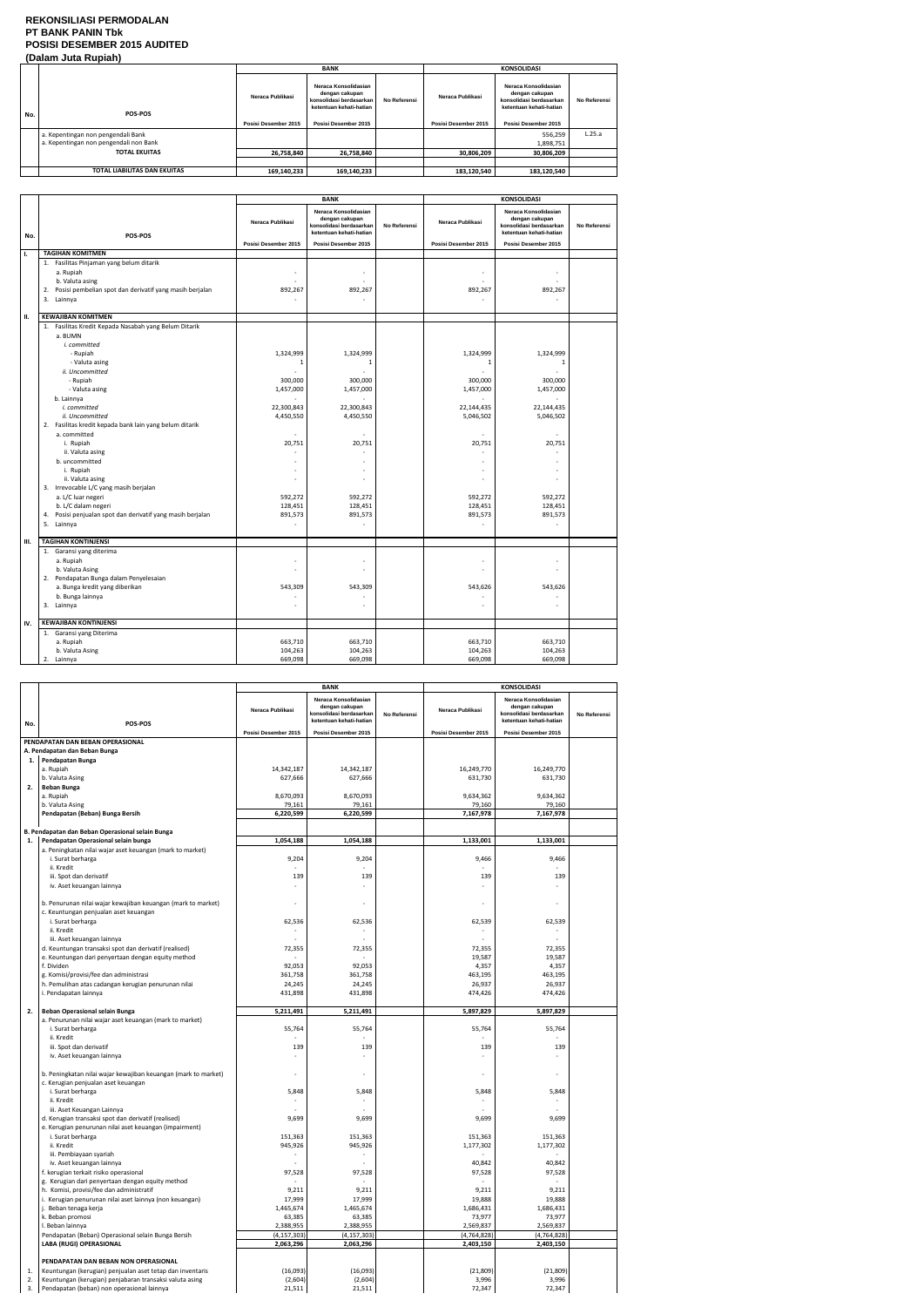## **REKONSILIASI PERMODALAN PT BANK PANIN Tbk POSISI DESEMBER 2015 AUDITED (Dalam Juta Rupiah)**

|     | . .                                                                          |                      | <b>BANK</b>                                                                                  |              |                      | <b>KONSOLIDASI</b>                                                                           |              |
|-----|------------------------------------------------------------------------------|----------------------|----------------------------------------------------------------------------------------------|--------------|----------------------|----------------------------------------------------------------------------------------------|--------------|
| No. | POS-POS                                                                      | Neraca Publikasi     | Neraca Konsolidasian<br>dengan cakupan<br>konsolidasi berdasarkan<br>ketentuan kehati-hatian | No Referensi | Neraca Publikasi     | Neraca Konsolidasian<br>dengan cakupan<br>konsolidasi berdasarkan<br>ketentuan kehati-hatian | No Referensi |
|     |                                                                              | Posisi Desember 2015 | Posisi Desember 2015                                                                         |              | Posisi Desember 2015 | Posisi Desember 2015                                                                         |              |
|     | a. Kepentingan non pengendali Bank<br>a. Kepentingan non pengendali non Bank |                      |                                                                                              |              |                      | 556,259<br>1,898,751                                                                         | L.25.a       |
|     | <b>TOTAL EKUITAS</b>                                                         | 26,758,840           | 26,758,840                                                                                   |              | 30,806,209           | 30,806,209                                                                                   |              |
|     |                                                                              |                      |                                                                                              |              |                      |                                                                                              |              |
|     | TOTAL LIABILITAS DAN EKUITAS                                                 | 169,140,233          | 169,140,233                                                                                  |              | 183,120,540          | 183,120,540                                                                                  |              |

|     |                                                               | <b>BANK</b>          |                                                                                              |                     | KONSOLIDASI          |                                                                                              |              |
|-----|---------------------------------------------------------------|----------------------|----------------------------------------------------------------------------------------------|---------------------|----------------------|----------------------------------------------------------------------------------------------|--------------|
| No. | POS-POS                                                       | Neraca Publikasi     | Neraca Konsolidasian<br>dengan cakupan<br>konsolidasi berdasarkan<br>ketentuan kehati-hatian | <b>No Referensi</b> | Neraca Publikasi     | Neraca Konsolidasian<br>dengan cakupan<br>konsolidasi berdasarkan<br>ketentuan kehati-hatian | No Referensi |
|     |                                                               | Posisi Desember 2015 | Posisi Desember 2015                                                                         |                     | Posisi Desember 2015 | Posisi Desember 2015                                                                         |              |
| Τ.  | <b>TAGIHAN KOMITMEN</b>                                       |                      |                                                                                              |                     |                      |                                                                                              |              |
|     | 1. Fasilitas Pinjaman yang belum ditarik<br>a. Rupiah         |                      | $\bar{a}$                                                                                    |                     |                      | $\sim$                                                                                       |              |
|     | b. Valuta asing                                               |                      |                                                                                              |                     |                      |                                                                                              |              |
|     | Posisi pembelian spot dan derivatif yang masih berjalan<br>2. | 892,267              | 892,267                                                                                      |                     | 892,267              | 892,267                                                                                      |              |
|     | 3. Lainnya                                                    |                      |                                                                                              |                     |                      |                                                                                              |              |
| П.  | <b>KEWAJIBAN KOMITMEN</b>                                     |                      |                                                                                              |                     |                      |                                                                                              |              |
|     | 1. Fasilitas Kredit Kepada Nasabah yang Belum Ditarik         |                      |                                                                                              |                     |                      |                                                                                              |              |
|     | a. BUMN                                                       |                      |                                                                                              |                     |                      |                                                                                              |              |
|     | i. committed                                                  |                      |                                                                                              |                     |                      |                                                                                              |              |
|     | - Rupiah                                                      | 1,324,999            | 1,324,999                                                                                    |                     | 1,324,999            | 1,324,999                                                                                    |              |
|     | - Valuta asing                                                | -1                   | $\mathbf{1}$                                                                                 |                     | -1                   | 1                                                                                            |              |
|     | ii. Uncommitted                                               |                      |                                                                                              |                     |                      |                                                                                              |              |
|     | - Rupiah                                                      | 300,000              | 300,000                                                                                      |                     | 300,000              | 300,000                                                                                      |              |
|     | - Valuta asing                                                | 1,457,000            | 1,457,000                                                                                    |                     | 1,457,000            | 1,457,000                                                                                    |              |
|     | b. Lainnya                                                    |                      |                                                                                              |                     |                      |                                                                                              |              |
|     | i. committed                                                  | 22,300,843           | 22,300,843                                                                                   |                     | 22,144,435           | 22,144,435                                                                                   |              |
|     | ii. Uncommitted                                               | 4,450,550            | 4,450,550                                                                                    |                     | 5,046,502            | 5,046,502                                                                                    |              |
|     | 2. Fasilitas kredit kepada bank lain yang belum ditarik       |                      |                                                                                              |                     |                      |                                                                                              |              |
|     | a. committed                                                  |                      |                                                                                              |                     |                      |                                                                                              |              |
|     | i. Rupiah                                                     | 20,751               | 20,751                                                                                       |                     | 20,751               | 20,751                                                                                       |              |
|     | ii. Valuta asing                                              |                      |                                                                                              |                     |                      |                                                                                              |              |
|     | b. uncommitted                                                |                      |                                                                                              |                     |                      |                                                                                              |              |
|     | i. Rupiah                                                     |                      |                                                                                              |                     | ٠                    |                                                                                              |              |
|     |                                                               |                      |                                                                                              |                     |                      |                                                                                              |              |
|     | ii. Valuta asing                                              |                      |                                                                                              |                     |                      |                                                                                              |              |
|     | 3. Irrevocable L/C yang masih berjalan                        |                      |                                                                                              |                     |                      |                                                                                              |              |
|     | a. L/C luar negeri                                            | 592,272              | 592,272                                                                                      |                     | 592,272              | 592,272                                                                                      |              |
|     | b. L/C dalam negeri                                           | 128,451              | 128,451                                                                                      |                     | 128,451              | 128,451                                                                                      |              |
|     | Posisi penjualan spot dan derivatif yang masih berjalan<br>4. | 891,573              | 891,573                                                                                      |                     | 891,573              | 891,573                                                                                      |              |
|     | 5. Lainnya                                                    |                      | $\mathbf{r}$                                                                                 |                     | ÷                    | $\sim$                                                                                       |              |
| Ш.  | <b>TAGIHAN KONTINJENSI</b>                                    |                      |                                                                                              |                     |                      |                                                                                              |              |
|     | 1. Garansi yang diterima                                      |                      |                                                                                              |                     |                      |                                                                                              |              |
|     | a. Rupiah                                                     |                      |                                                                                              |                     |                      | ٠                                                                                            |              |
|     | b. Valuta Asing                                               |                      | ÷                                                                                            |                     | ÷.                   | $\sim$                                                                                       |              |
|     | Pendapatan Bunga dalam Penyelesaian<br>2.                     |                      |                                                                                              |                     |                      |                                                                                              |              |
|     | a. Bunga kredit yang diberikan                                | 543,309              | 543,309                                                                                      |                     | 543,626              | 543,626                                                                                      |              |
|     | b. Bunga lainnya                                              |                      |                                                                                              |                     |                      |                                                                                              |              |
|     | 3. Lainnya                                                    |                      |                                                                                              |                     |                      |                                                                                              |              |
| IV. | <b>KEWAJIBAN KONTINJENSI</b>                                  |                      |                                                                                              |                     |                      |                                                                                              |              |
|     | 1. Garansi yang Diterima                                      |                      |                                                                                              |                     |                      |                                                                                              |              |
|     | a. Rupiah                                                     | 663,710              | 663,710                                                                                      |                     | 663,710              | 663,710                                                                                      |              |
|     | b. Valuta Asing                                               | 104,263              | 104,263                                                                                      |                     | 104,263              | 104,263                                                                                      |              |
|     | 2. Lainnya                                                    | 669,098              | 669,098                                                                                      |                     | 669,098              | 669,098                                                                                      |              |
|     |                                                               |                      |                                                                                              |                     |                      |                                                                                              |              |

|     |                                                                                         |                      | <b>BANK</b>                                                                                  |              |                      | <b>KONSOLIDASI</b>                                                                           |              |
|-----|-----------------------------------------------------------------------------------------|----------------------|----------------------------------------------------------------------------------------------|--------------|----------------------|----------------------------------------------------------------------------------------------|--------------|
|     |                                                                                         | Neraca Publikasi     | Neraca Konsolidasian<br>dengan cakupan<br>konsolidasi berdasarkan<br>ketentuan kehati-hatian | No Referensi | Neraca Publikasi     | Neraca Konsolidasian<br>dengan cakupan<br>konsolidasi berdasarkan<br>ketentuan kehati-hatian | No Referensi |
| No. | POS-POS                                                                                 | Posisi Desember 2015 | Posisi Desember 2015                                                                         |              | Posisi Desember 2015 | Posisi Desember 2015                                                                         |              |
|     | PENDAPATAN DAN BEBAN OPERASIONAL                                                        |                      |                                                                                              |              |                      |                                                                                              |              |
|     |                                                                                         |                      |                                                                                              |              |                      |                                                                                              |              |
|     | A. Pendapatan dan Beban Bunga                                                           |                      |                                                                                              |              |                      |                                                                                              |              |
| 1.  | Pendapatan Bunga                                                                        |                      |                                                                                              |              |                      |                                                                                              |              |
|     | a. Rupiah                                                                               | 14,342,187           | 14,342,187                                                                                   |              | 16,249,770           | 16,249,770                                                                                   |              |
|     | b. Valuta Asing                                                                         | 627,666              | 627,666                                                                                      |              | 631,730              | 631,730                                                                                      |              |
| 2.  | <b>Beban Bunga</b>                                                                      |                      |                                                                                              |              |                      |                                                                                              |              |
|     | a. Rupiah                                                                               | 8,670,093            | 8,670,093                                                                                    |              | 9,634,362            | 9,634,362                                                                                    |              |
|     | b. Valuta Asing                                                                         | 79,161               | 79,161                                                                                       |              | 79,160               | 79,160                                                                                       |              |
|     | Pendapatan (Beban) Bunga Bersih                                                         | 6,220,599            | 6,220,599                                                                                    |              | 7,167,978            | 7,167,978                                                                                    |              |
|     |                                                                                         |                      |                                                                                              |              |                      |                                                                                              |              |
| 1.  | B. Pendapatan dan Beban Operasional selain Bunga<br>Pendapatan Operasional selain bunga | 1,054,188            | 1,054,188                                                                                    |              | 1,133,001            | 1,133,001                                                                                    |              |
|     |                                                                                         |                      |                                                                                              |              |                      |                                                                                              |              |
|     | a. Peningkatan nilai wajar aset keuangan (mark to market)<br>i. Surat berharga          | 9,204                | 9,204                                                                                        |              | 9,466                | 9,466                                                                                        |              |
|     | ii. Kredit                                                                              |                      |                                                                                              |              |                      |                                                                                              |              |
|     | iii. Spot dan derivatif                                                                 | 139                  | 139                                                                                          |              | 139                  | 139                                                                                          |              |
|     | iv. Aset keuangan lainnya                                                               |                      |                                                                                              |              |                      |                                                                                              |              |
|     |                                                                                         |                      |                                                                                              |              |                      |                                                                                              |              |
|     | b. Penurunan nilai wajar kewajiban keuangan (mark to market)                            |                      |                                                                                              |              |                      |                                                                                              |              |
|     | c. Keuntungan penjualan aset keuangan                                                   |                      |                                                                                              |              |                      |                                                                                              |              |
|     | i. Surat berharga                                                                       | 62,536               | 62,536                                                                                       |              | 62,539               | 62,539                                                                                       |              |
|     | ii. Kredit                                                                              |                      |                                                                                              |              |                      |                                                                                              |              |
|     | iii. Aset keuangan lainnya                                                              |                      |                                                                                              |              |                      |                                                                                              |              |
|     | d. Keuntungan transaksi spot dan derivatif (realised)                                   | 72,355               | 72,355                                                                                       |              | 72,355               | 72,355                                                                                       |              |
|     | e. Keuntungan dari penyertaan dengan equity method                                      |                      |                                                                                              |              | 19,587               | 19,587                                                                                       |              |
|     | f. Dividen                                                                              | 92,053               | 92,053                                                                                       |              | 4,357                | 4,357                                                                                        |              |
|     | g. Komisi/provisi/fee dan administrasi                                                  | 361,758              | 361,758                                                                                      |              | 463,195              | 463,195                                                                                      |              |
|     | h. Pemulihan atas cadangan kerugian penurunan nilai                                     | 24,245               | 24,245                                                                                       |              | 26,937               | 26,937                                                                                       |              |
|     | i. Pendapatan lainnya                                                                   | 431,898              | 431,898                                                                                      |              | 474,426              | 474,426                                                                                      |              |
|     |                                                                                         |                      |                                                                                              |              |                      |                                                                                              |              |
| 2.  | Beban Operasional selain Bunga                                                          | 5,211,491            | 5,211,491                                                                                    |              | 5,897,829            | 5,897,829                                                                                    |              |
|     | a. Penurunan nilai wajar aset keuangan (mark to market)                                 |                      |                                                                                              |              |                      |                                                                                              |              |
|     | i. Surat berharga                                                                       | 55,764               | 55,764                                                                                       |              | 55,764               | 55,764                                                                                       |              |
|     | ii. Kredit                                                                              |                      |                                                                                              |              |                      |                                                                                              |              |
|     | iii. Spot dan derivatif                                                                 | 139                  | 139                                                                                          |              | 139                  | 139                                                                                          |              |
|     | iv. Aset keuangan lainnya                                                               |                      |                                                                                              |              | ÷                    |                                                                                              |              |
|     |                                                                                         |                      |                                                                                              |              |                      |                                                                                              |              |
|     | b. Peningkatan nilai wajar kewajiban keuangan (mark to market)                          |                      |                                                                                              |              |                      | $\overline{\phantom{a}}$                                                                     |              |
|     | c. Kerugian penjualan aset keuangan                                                     |                      |                                                                                              |              |                      |                                                                                              |              |
|     | i. Surat berharga                                                                       | 5,848                | 5,848                                                                                        |              | 5,848                | 5,848                                                                                        |              |
|     | ii. Kredit                                                                              |                      |                                                                                              |              |                      | $\sim$                                                                                       |              |
|     | iii. Aset Keuangan Lainnya<br>d. Kerugian transaksi spot dan derivatif (realised)       |                      |                                                                                              |              |                      |                                                                                              |              |
|     |                                                                                         | 9,699                | 9,699                                                                                        |              | 9,699                | 9,699                                                                                        |              |
|     | e. Kerugian penurunan nilai aset keuangan (impairment)<br>i. Surat berharga             |                      | 151,363                                                                                      |              |                      | 151,363                                                                                      |              |
|     | ii. Kredit                                                                              | 151,363<br>945,926   | 945,926                                                                                      |              | 151,363<br>1,177,302 | 1,177,302                                                                                    |              |
|     | iii. Pembiayaan syariah                                                                 |                      |                                                                                              |              |                      |                                                                                              |              |
|     | iv. Aset keuangan lainnya                                                               |                      |                                                                                              |              | 40,842               | 40,842                                                                                       |              |
|     | f. kerugian terkait risiko operasional                                                  | 97,528               | 97,528                                                                                       |              | 97,528               | 97,528                                                                                       |              |
|     | g. Kerugian dari penyertaan dengan equity method                                        |                      |                                                                                              |              |                      |                                                                                              |              |
|     | h. Komisi, provisi/fee dan administratif                                                | 9,211                | 9,211                                                                                        |              | 9,211                | 9,211                                                                                        |              |
|     | i. Kerugian penurunan nilai aset lainnya (non keuangan)                                 | 17,999               | 17,999                                                                                       |              | 19,888               | 19,888                                                                                       |              |
|     | j. Beban tenaga kerja                                                                   | 1,465,674            | 1,465,674                                                                                    |              | 1,686,431            | 1,686,431                                                                                    |              |
|     | k. Beban promosi                                                                        | 63,385               | 63,385                                                                                       |              | 73,977               | 73,977                                                                                       |              |
|     | I. Beban lainnya                                                                        | 2,388,955            | 2,388,955                                                                                    |              | 2,569,837            | 2,569,837                                                                                    |              |
|     | Pendapatan (Beban) Operasional selain Bunga Bersih                                      | (4, 157, 303)        | (4, 157, 303)                                                                                |              | (4, 764, 828)        | (4, 764, 828)                                                                                |              |
|     | LABA (RUGI) OPERASIONAL                                                                 | 2,063,296            | 2,063,296                                                                                    |              | 2,403,150            | 2,403,150                                                                                    |              |
|     |                                                                                         |                      |                                                                                              |              |                      |                                                                                              |              |
|     | PENDAPATAN DAN BEBAN NON OPERASIONAL                                                    |                      |                                                                                              |              |                      |                                                                                              |              |
| 1.  | Keuntungan (kerugian) penjualan aset tetap dan inventaris                               | (16,093)             | (16,093)                                                                                     |              | (21,809)             | (21, 809)                                                                                    |              |
| 2.  | Keuntungan (kerugian) penjabaran transaksi valuta asing                                 | (2,604)              | (2,604)                                                                                      |              | 3,996                | 3,996                                                                                        |              |
| 3.  | Pendapatan (beban) non operasional lainnya                                              | 21,511               | 21,511                                                                                       |              | 72,347               | 72,347                                                                                       |              |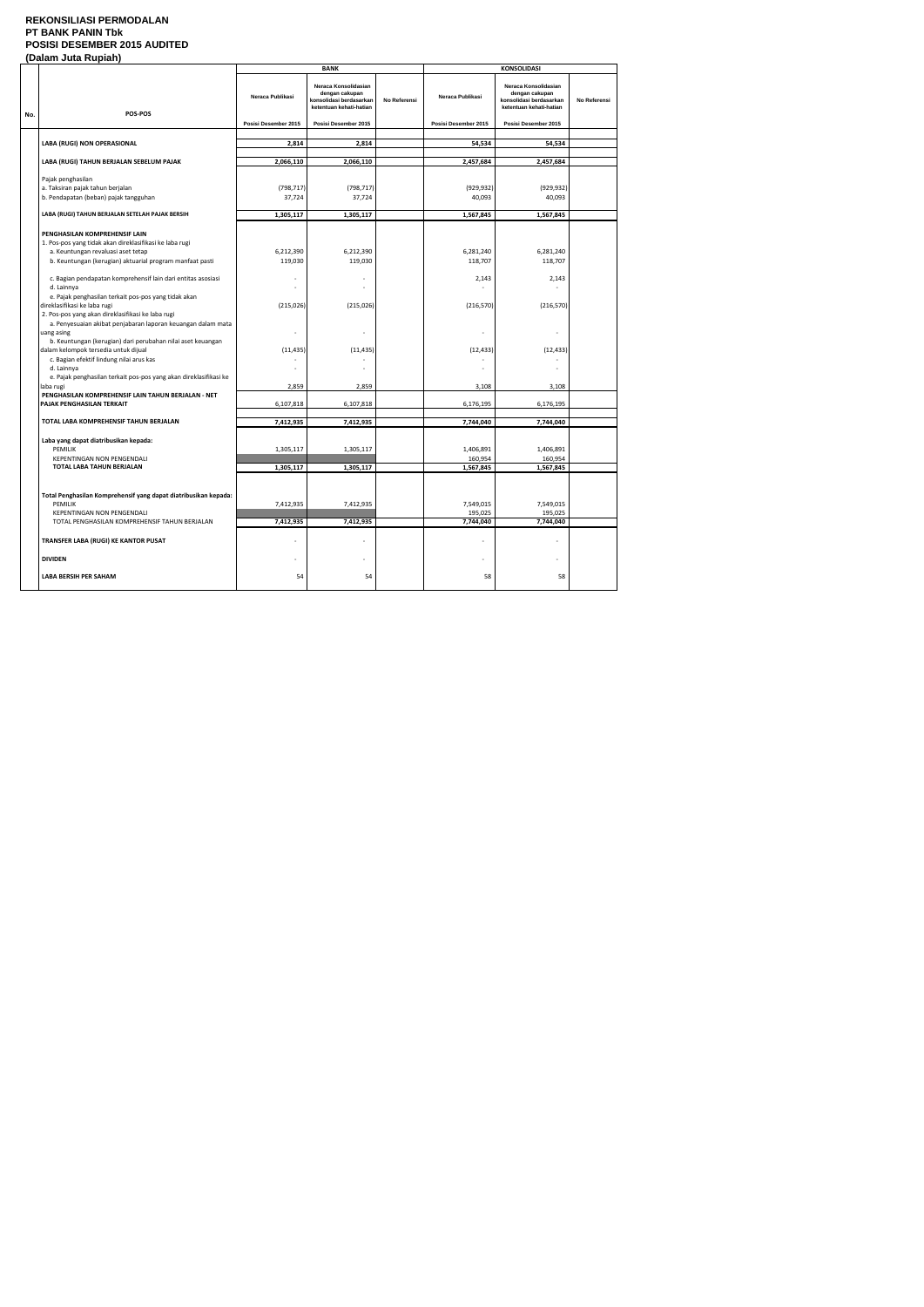### **REKONSILIASI PERMODALAN PT BANK PANIN Tbk POSISI DESEMBER 2015 AUDITED (Dalam Juta Rupiah)**

|     | Palahi vulu Rupluh                                                                                                                                                                         |                        | <b>BANK</b>                                                                                  |              |                                   |                                                                                              |              |
|-----|--------------------------------------------------------------------------------------------------------------------------------------------------------------------------------------------|------------------------|----------------------------------------------------------------------------------------------|--------------|-----------------------------------|----------------------------------------------------------------------------------------------|--------------|
| No. | POS-POS                                                                                                                                                                                    | Neraca Publikasi       | Neraca Konsolidasian<br>dengan cakupan<br>konsolidasi berdasarkan<br>ketentuan kehati-hatian | No Referensi | Neraca Publikasi                  | Neraca Konsolidasian<br>dengan cakupan<br>konsolidasi berdasarkan<br>ketentuan kehati-hatian | No Referensi |
|     |                                                                                                                                                                                            | Posisi Desember 2015   | Posisi Desember 2015                                                                         |              | Posisi Desember 2015              | Posisi Desember 2015                                                                         |              |
|     | LABA (RUGI) NON OPERASIONAL                                                                                                                                                                | 2,814                  | 2,814                                                                                        |              | 54,534                            | 54,534                                                                                       |              |
|     |                                                                                                                                                                                            |                        |                                                                                              |              |                                   |                                                                                              |              |
|     | LABA (RUGI) TAHUN BERJALAN SEBELUM PAJAK                                                                                                                                                   | 2,066,110              | 2,066,110                                                                                    |              | 2,457,684                         | 2,457,684                                                                                    |              |
|     | Pajak penghasilan                                                                                                                                                                          |                        |                                                                                              |              |                                   |                                                                                              |              |
|     | a. Taksiran pajak tahun berjalan<br>b. Pendapatan (beban) pajak tangguhan                                                                                                                  | (798, 717)<br>37,724   | (798, 717)<br>37,724                                                                         |              | (929, 932)<br>40,093              | (929, 932)<br>40,093                                                                         |              |
|     |                                                                                                                                                                                            |                        |                                                                                              |              |                                   |                                                                                              |              |
|     | LABA (RUGI) TAHUN BERJALAN SETELAH PAJAK BERSIH                                                                                                                                            | 1,305,117              | 1,305,117                                                                                    |              | 1,567,845                         | 1,567,845                                                                                    |              |
|     | PENGHASILAN KOMPREHENSIF LAIN<br>1. Pos-pos yang tidak akan direklasifikasi ke laba rugi<br>a. Keuntungan revaluasi aset tetap<br>b. Keuntungan (kerugian) aktuarial program manfaat pasti | 6,212,390<br>119,030   | 6,212,390<br>119,030                                                                         |              | 6,281,240<br>118,707              | 6,281,240<br>118,707                                                                         |              |
|     | c. Bagian pendapatan komprehensif lain dari entitas asosiasi<br>d. Lainnya<br>e. Pajak penghasilan terkait pos-pos yang tidak akan                                                         |                        |                                                                                              |              | 2,143                             | 2,143                                                                                        |              |
|     | direklasifikasi ke laba rugi<br>2. Pos-pos yang akan direklasifikasi ke laba rugi<br>a. Penyesuaian akibat penjabaran laporan keuangan dalam mata<br>uang asing                            | (215, 026)             | (215, 026)                                                                                   |              | (216, 570)                        | (216, 570)                                                                                   |              |
|     | b. Keuntungan (kerugian) dari perubahan nilai aset keuangan<br>dalam kelompok tersedia untuk dijual<br>c. Bagian efektif lindung nilai arus kas<br>d. Lainnya                              | (11, 435)              | (11, 435)                                                                                    |              | (12, 433)                         | (12, 433)                                                                                    |              |
|     | e. Pajak penghasilan terkait pos-pos yang akan direklasifikasi ke                                                                                                                          | 2,859                  | 2,859                                                                                        |              | 3,108                             | 3,108                                                                                        |              |
|     | laba rugi<br>PENGHASILAN KOMPREHENSIF LAIN TAHUN BERJALAN - NET<br>PAJAK PENGHASILAN TERKAIT                                                                                               | 6,107,818              | 6,107,818                                                                                    |              | 6,176,195                         | 6,176,195                                                                                    |              |
|     | TOTAL LABA KOMPREHENSIF TAHUN BERJALAN                                                                                                                                                     | 7,412,935              | 7,412,935                                                                                    |              | 7,744,040                         | 7,744,040                                                                                    |              |
|     | Laba yang dapat diatribusikan kepada:<br>PEMILIK<br><b>KEPENTINGAN NON PENGENDALI</b><br>TOTAL LABA TAHUN BERJALAN                                                                         | 1,305,117<br>1,305,117 | 1,305,117<br>1,305,117                                                                       |              | 1,406,891<br>160,954<br>1,567,845 | 1,406,891<br>160,954<br>1,567,845                                                            |              |
|     | Total Penghasilan Komprehensif yang dapat diatribusikan kepada:<br><b>PEMILIK</b><br>KEPENTINGAN NON PENGENDALI<br>TOTAL PENGHASILAN KOMPREHENSIF TAHUN BERJALAN                           | 7,412,935<br>7,412,935 | 7,412,935<br>7,412,935                                                                       |              | 7,549,015<br>195,025<br>7,744,040 | 7,549,015<br>195,025<br>7,744,040                                                            |              |
|     | TRANSFER LABA (RUGI) KE KANTOR PUSAT                                                                                                                                                       |                        |                                                                                              |              |                                   |                                                                                              |              |
|     | <b>DIVIDEN</b>                                                                                                                                                                             |                        |                                                                                              |              |                                   |                                                                                              |              |
|     | <b>LABA BERSIH PER SAHAM</b>                                                                                                                                                               | 54                     | 54                                                                                           |              | 58                                | 58                                                                                           |              |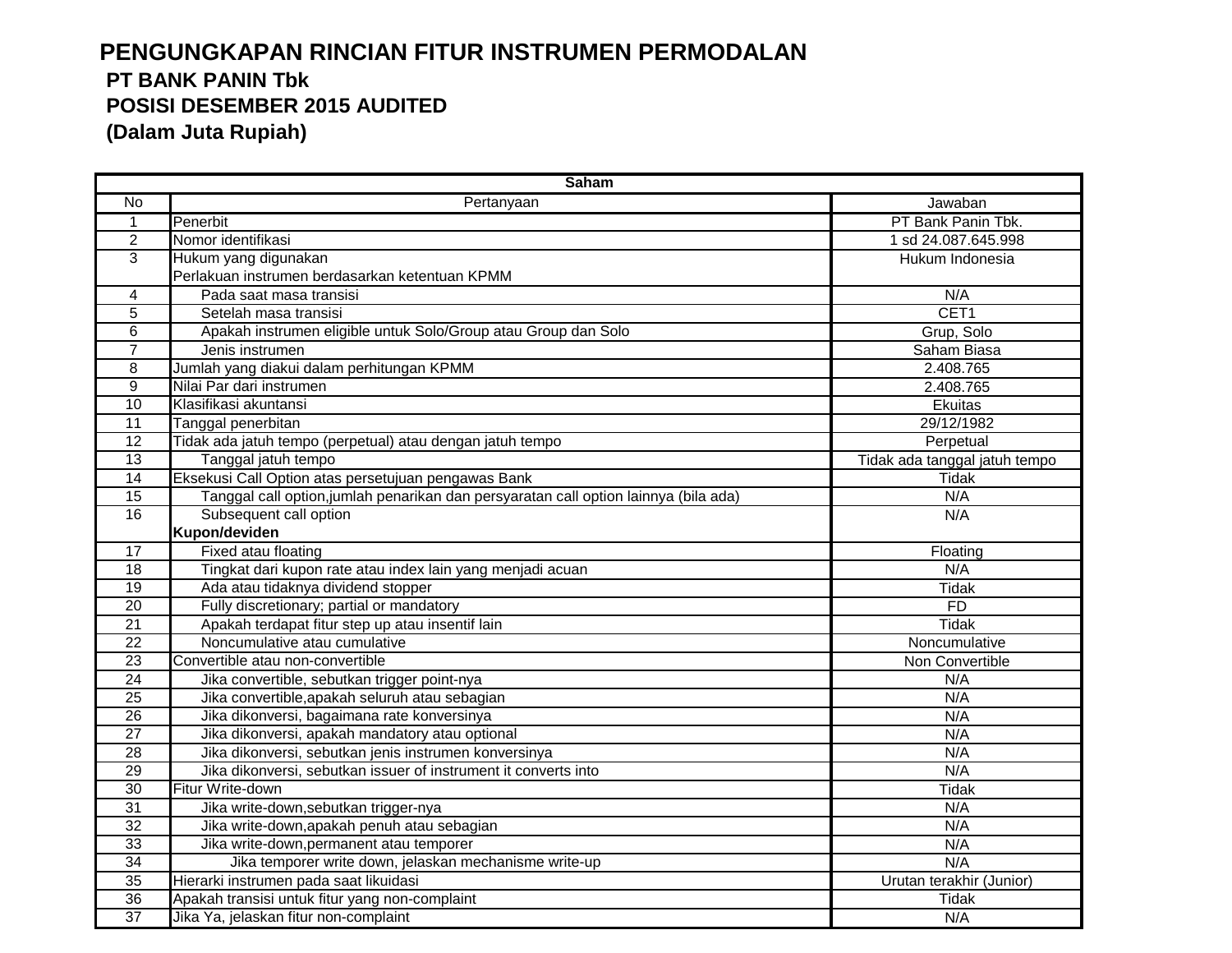# **PENGUNGKAPAN RINCIAN FITUR INSTRUMEN PERMODALAN PT BANK PANIN Tbk POSISI DESEMBER 2015 AUDITED (Dalam Juta Rupiah)**

|                 | <b>Saham</b>                                                                         |                               |  |  |  |  |
|-----------------|--------------------------------------------------------------------------------------|-------------------------------|--|--|--|--|
| No              | Pertanyaan                                                                           | Jawaban                       |  |  |  |  |
| 1               | Penerbit                                                                             | PT Bank Panin Tbk.            |  |  |  |  |
| $\overline{2}$  | Nomor identifikasi                                                                   | 1 sd 24.087.645.998           |  |  |  |  |
| 3               | Hukum yang digunakan                                                                 | Hukum Indonesia               |  |  |  |  |
|                 | Perlakuan instrumen berdasarkan ketentuan KPMM                                       |                               |  |  |  |  |
| 4               | Pada saat masa transisi                                                              | N/A                           |  |  |  |  |
| 5               | Setelah masa transisi                                                                | CET1                          |  |  |  |  |
| 6               | Apakah instrumen eligible untuk Solo/Group atau Group dan Solo                       | Grup, Solo                    |  |  |  |  |
| $\overline{7}$  | Jenis instrumen                                                                      | Saham Biasa                   |  |  |  |  |
| 8               | Jumlah yang diakui dalam perhitungan KPMM                                            | 2.408.765                     |  |  |  |  |
| 9               | Nilai Par dari instrumen                                                             | 2.408.765                     |  |  |  |  |
| 10              | Klasifikasi akuntansi                                                                | Ekuitas                       |  |  |  |  |
| $\overline{11}$ | Tanggal penerbitan                                                                   | 29/12/1982                    |  |  |  |  |
| 12              | Tidak ada jatuh tempo (perpetual) atau dengan jatuh tempo                            | Perpetual                     |  |  |  |  |
| 13              | Tanggal jatuh tempo                                                                  | Tidak ada tanggal jatuh tempo |  |  |  |  |
| 14              | Eksekusi Call Option atas persetujuan pengawas Bank                                  | Tidak                         |  |  |  |  |
| 15              | Tanggal call option, jumlah penarikan dan persyaratan call option lainnya (bila ada) | N/A                           |  |  |  |  |
| $\overline{16}$ | Subsequent call option                                                               | N/A                           |  |  |  |  |
|                 | Kupon/deviden                                                                        |                               |  |  |  |  |
| $\overline{17}$ | Fixed atau floating                                                                  | Floating                      |  |  |  |  |
| 18              | Tingkat dari kupon rate atau index lain yang menjadi acuan                           | N/A                           |  |  |  |  |
| 19              | Ada atau tidaknya dividend stopper                                                   | <b>Tidak</b>                  |  |  |  |  |
| 20              | Fully discretionary; partial or mandatory                                            | FD                            |  |  |  |  |
| $\overline{21}$ | Apakah terdapat fitur step up atau insentif lain                                     | <b>Tidak</b>                  |  |  |  |  |
| $\overline{22}$ | Noncumulative atau cumulative                                                        | Noncumulative                 |  |  |  |  |
| 23              | Convertible atau non-convertible                                                     | Non Convertible               |  |  |  |  |
| $\overline{24}$ | Jika convertible, sebutkan trigger point-nya                                         | N/A                           |  |  |  |  |
| 25              | Jika convertible, apakah seluruh atau sebagian                                       | N/A                           |  |  |  |  |
| $\overline{26}$ | Jika dikonversi, bagaimana rate konversinya                                          | N/A                           |  |  |  |  |
| $\overline{27}$ | Jika dikonversi, apakah mandatory atau optional                                      | N/A                           |  |  |  |  |
| 28              | Jika dikonversi, sebutkan jenis instrumen konversinya                                | N/A                           |  |  |  |  |
| $\overline{29}$ | Jika dikonversi, sebutkan issuer of instrument it converts into                      | N/A                           |  |  |  |  |
| 30              | Fitur Write-down                                                                     | <b>Tidak</b>                  |  |  |  |  |
| $\overline{31}$ | Jika write-down, sebutkan trigger-nya                                                | N/A                           |  |  |  |  |
| $\overline{32}$ | Jika write-down, apakah penuh atau sebagian                                          | N/A                           |  |  |  |  |
| 33              | Jika write-down, permanent atau temporer                                             | N/A                           |  |  |  |  |
| $\overline{34}$ | Jika temporer write down, jelaskan mechanisme write-up                               | N/A                           |  |  |  |  |
| $\overline{35}$ | Hierarki instrumen pada saat likuidasi                                               | Urutan terakhir (Junior)      |  |  |  |  |
| 36              | Apakah transisi untuk fitur yang non-complaint                                       | <b>Tidak</b>                  |  |  |  |  |
| $\overline{37}$ | Jika Ya, jelaskan fitur non-complaint                                                | N/A                           |  |  |  |  |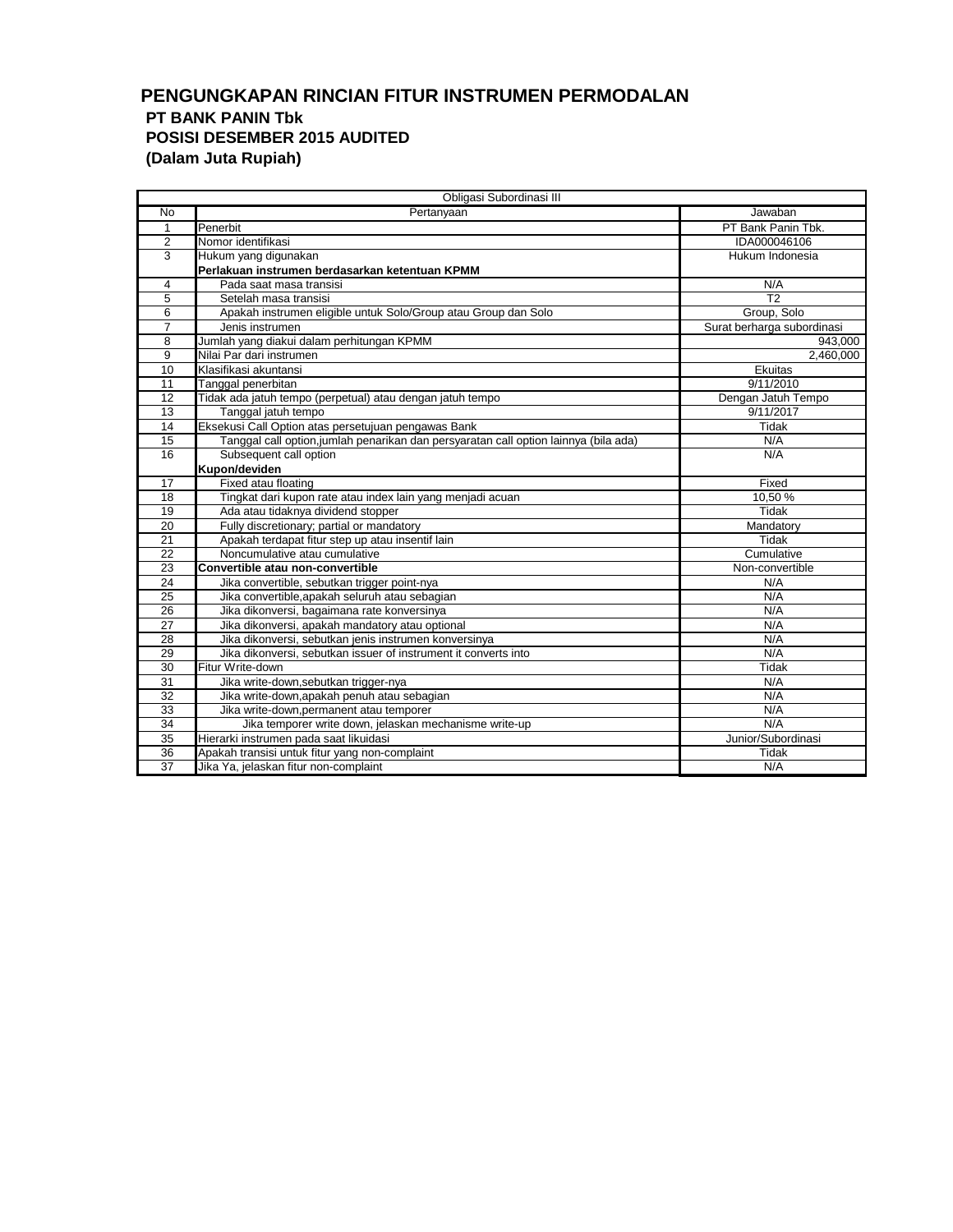## **PENGUNGKAPAN RINCIAN FITUR INSTRUMEN PERMODALAN PT BANK PANIN Tbk POSISI DESEMBER 2015 AUDITED (Dalam Juta Rupiah)**

|                 | Obligasi Subordinasi III                                                             |                            |  |  |  |  |  |
|-----------------|--------------------------------------------------------------------------------------|----------------------------|--|--|--|--|--|
| <b>No</b>       | Pertanyaan                                                                           | Jawaban                    |  |  |  |  |  |
| $\overline{1}$  | Penerbit                                                                             | PT Bank Panin Tbk.         |  |  |  |  |  |
| $\overline{2}$  | Nomor identifikasi                                                                   | IDA000046106               |  |  |  |  |  |
| 3               | Hukum yang digunakan                                                                 | Hukum Indonesia            |  |  |  |  |  |
|                 | Perlakuan instrumen berdasarkan ketentuan KPMM                                       |                            |  |  |  |  |  |
| 4               | Pada saat masa transisi                                                              | N/A                        |  |  |  |  |  |
| 5               | Setelah masa transisi                                                                | $\overline{12}$            |  |  |  |  |  |
| 6               | Apakah instrumen eligible untuk Solo/Group atau Group dan Solo                       | Group, Solo                |  |  |  |  |  |
| $\overline{7}$  | Jenis instrumen                                                                      | Surat berharga subordinasi |  |  |  |  |  |
| 8               | Jumlah yang diakui dalam perhitungan KPMM                                            | 943,000                    |  |  |  |  |  |
| 9               | Nilai Par dari instrumen                                                             | 2,460,000                  |  |  |  |  |  |
| 10              | Klasifikasi akuntansi                                                                | Ekuitas                    |  |  |  |  |  |
| 11              | Tanggal penerbitan                                                                   | 9/11/2010                  |  |  |  |  |  |
| 12              | Tidak ada jatuh tempo (perpetual) atau dengan jatuh tempo                            | Dengan Jatuh Tempo         |  |  |  |  |  |
| 13              | Tanggal jatuh tempo                                                                  | 9/11/2017                  |  |  |  |  |  |
| 14              | Eksekusi Call Option atas persetujuan pengawas Bank                                  | Tidak                      |  |  |  |  |  |
| 15              | Tanggal call option, jumlah penarikan dan persyaratan call option lainnya (bila ada) | N/A                        |  |  |  |  |  |
| 16              | Subsequent call option                                                               | N/A                        |  |  |  |  |  |
|                 | Kupon/deviden                                                                        |                            |  |  |  |  |  |
| 17              | Fixed atau floating                                                                  | Fixed                      |  |  |  |  |  |
| 18              | Tingkat dari kupon rate atau index lain yang menjadi acuan                           | 10.50%                     |  |  |  |  |  |
| 19              | Ada atau tidaknya dividend stopper                                                   | Tidak                      |  |  |  |  |  |
| 20              | Fully discretionary; partial or mandatory                                            | Mandatory                  |  |  |  |  |  |
| 21              | Apakah terdapat fitur step up atau insentif lain                                     | Tidak                      |  |  |  |  |  |
| $\overline{22}$ | Noncumulative atau cumulative                                                        | Cumulative                 |  |  |  |  |  |
| 23              | Convertible atau non-convertible                                                     | Non-convertible            |  |  |  |  |  |
| 24              | Jika convertible, sebutkan trigger point-nya                                         | N/A                        |  |  |  |  |  |
| 25              | Jika convertible, apakah seluruh atau sebagian                                       | N/A                        |  |  |  |  |  |
| 26              | Jika dikonversi, bagaimana rate konversinya                                          | N/A                        |  |  |  |  |  |
| 27              | Jika dikonversi, apakah mandatory atau optional                                      | N/A                        |  |  |  |  |  |
| 28              | Jika dikonversi, sebutkan jenis instrumen konversinya                                | N/A                        |  |  |  |  |  |
| 29              | Jika dikonversi, sebutkan issuer of instrument it converts into                      | N/A                        |  |  |  |  |  |
| 30              | Fitur Write-down                                                                     | Tidak                      |  |  |  |  |  |
| 31              | Jika write-down, sebutkan trigger-nya                                                | N/A                        |  |  |  |  |  |
| 32              | Jika write-down, apakah penuh atau sebagian                                          | N/A                        |  |  |  |  |  |
| 33              | Jika write-down, permanent atau temporer                                             | N/A                        |  |  |  |  |  |
| 34              | Jika temporer write down, jelaskan mechanisme write-up                               | N/A                        |  |  |  |  |  |
| 35              | Hierarki instrumen pada saat likuidasi                                               | Junior/Subordinasi         |  |  |  |  |  |
| $\overline{36}$ | Apakah transisi untuk fitur yang non-complaint                                       | Tidak                      |  |  |  |  |  |
| $\overline{37}$ | Jika Ya, jelaskan fitur non-complaint                                                | N/A                        |  |  |  |  |  |